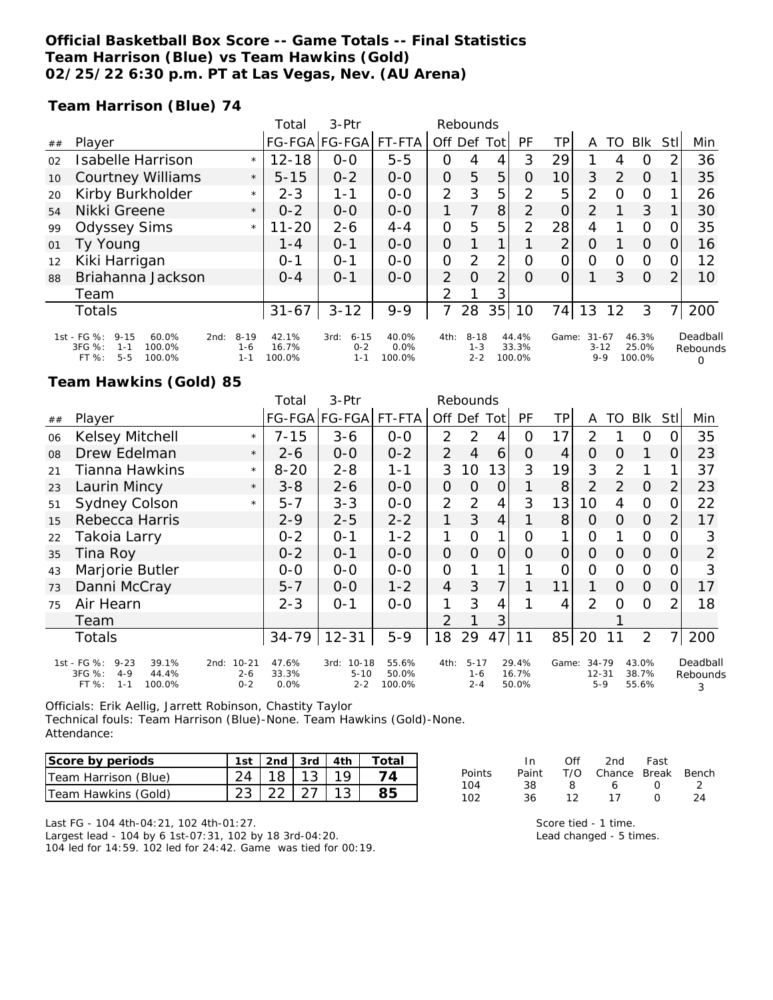## **Official Basketball Box Score -- Game Totals -- Final Statistics Team Harrison (Blue) vs Team Hawkins (Gold) 02/25/22 6:30 p.m. PT at Las Vegas, Nev. (AU Arena)**

**Team Harrison (Blue) 74**

|    |                                                                                                       |                                | Total                    | 3-Ptr                                  | Rebounds                   |                |                            |                |                          |       |                                  |          |                          |          |                                  |
|----|-------------------------------------------------------------------------------------------------------|--------------------------------|--------------------------|----------------------------------------|----------------------------|----------------|----------------------------|----------------|--------------------------|-------|----------------------------------|----------|--------------------------|----------|----------------------------------|
| ## | Player                                                                                                |                                | FG-FGA FG-FGA            |                                        | FT-FTA                     | Off Def        |                            | Totl           | PF                       | ΤP    | A                                | TO       | Blk                      | Stl      | Min                              |
| 02 | Isabelle Harrison                                                                                     | $\star$                        | $12 - 18$                | $0 - 0$                                | $5 - 5$                    | 0              | 4                          | 4              | 3                        | 29    |                                  | 4        | $\Omega$                 | 2        | 36                               |
| 10 | <b>Courtney Williams</b>                                                                              | $\star$                        | $5 - 15$                 | $0 - 2$                                | $0 - 0$                    | $\mathcal{O}$  | 5                          | 5              | 0                        | 10    | 3                                | 2        | $\Omega$                 |          | 35                               |
| 20 | Kirby Burkholder                                                                                      | $\star$                        | $2 - 3$                  | 1-1                                    | $O - O$                    | 2              | 3                          | 5              | 2                        | 5     | 2                                | $\Omega$ | $\Omega$                 |          | 26                               |
| 54 | Nikki Greene                                                                                          | $\star$                        | $0 - 2$                  | $O-O$                                  | $0 - 0$                    |                | 7                          | 8              | $\overline{2}$           | 0     | 2                                |          | 3                        |          | 30                               |
| 99 | <b>Odyssey Sims</b>                                                                                   | $\star$                        | $11 - 20$                | $2 - 6$                                | $4 - 4$                    | 0              | 5                          | 5              | $\overline{2}$           | 28    | 4                                |          | $\Omega$                 | Ω        | 35                               |
| 01 | Ty Young                                                                                              |                                | $1 - 4$                  | $O - 1$                                | $0 - 0$                    | $\Omega$       |                            | 1              |                          | 2     | $\Omega$                         |          | $\Omega$                 | $\Omega$ | 16                               |
| 12 | Kiki Harrigan                                                                                         |                                | $O - 1$                  | $O - 1$                                | $O - O$                    | O              | 2                          | 2              | $\Omega$                 | O     | $\Omega$                         | $\Omega$ | $\Omega$                 | O        | 12                               |
| 88 | Briahanna Jackson                                                                                     |                                | $O - 4$                  | $O - 1$                                | $0 - 0$                    | $\overline{2}$ | $\Omega$                   | $\overline{2}$ | $\Omega$                 | Ο     |                                  | 3        | $\Omega$                 |          | 10                               |
|    | Team                                                                                                  |                                |                          |                                        |                            | 2              |                            | 3 <sub>1</sub> |                          |       |                                  |          |                          |          |                                  |
|    | <b>Totals</b>                                                                                         |                                | $31 - 67$                | $3 - 12$                               | $9 - 9$                    | 7              | 28                         | 35             | 10                       | 74    | 13                               | 12       | 3                        |          | 200                              |
|    | 1st - FG %:<br>$9 - 15$<br>60.0%<br>2nd:<br>3FG %:<br>100.0%<br>$1 - 1$<br>$5 - 5$<br>100.0%<br>FT %: | $8 - 19$<br>$1 - 6$<br>$1 - 1$ | 42.1%<br>16.7%<br>100.0% | $6 - 15$<br>3rd:<br>$0 - 2$<br>$1 - 1$ | 40.0%<br>$0.0\%$<br>100.0% | 4th:           | $8 - 18$<br>1-3<br>$2 - 2$ |                | 44.4%<br>33.3%<br>100.0% | Game: | $31 - 67$<br>$3 - 12$<br>$9 - 9$ |          | 46.3%<br>25.0%<br>100.0% |          | Deadball<br>Rebounds<br>$\Omega$ |

## **Team Hawkins (Gold) 85**

|    |                                                                                              |                                         | Total                  | 3-Ptr                                    | Rebounds                 |                |                                |                |                         |                |                             |          |                         |                |                           |
|----|----------------------------------------------------------------------------------------------|-----------------------------------------|------------------------|------------------------------------------|--------------------------|----------------|--------------------------------|----------------|-------------------------|----------------|-----------------------------|----------|-------------------------|----------------|---------------------------|
| ## | Player                                                                                       |                                         |                        | FG-FGA FG-FGA                            | FT-FTA                   |                | Off Def                        | Tot            | PF                      | TP.            | A                           | TO       | <b>BIK</b>              | Stll           | Min                       |
| 06 | <b>Kelsey Mitchell</b>                                                                       | $\star$                                 | $7 - 15$               | $3 - 6$                                  | $0 - 0$                  | 2              | 2                              | 4              | $\circ$                 | 17             | 2                           |          | $\Omega$                | Ω              | 35                        |
| 08 | Drew Edelman                                                                                 | $\star$                                 | $2 - 6$                | $0 - 0$                                  | $0 - 2$                  | 2              | $\overline{4}$                 | 6              | O                       | 4              | 0                           | O        | 1                       | 0              | 23                        |
| 21 | <b>Tianna Hawkins</b>                                                                        | $\star$                                 | $8 - 20$               | $2 - 8$                                  | $1 - 1$                  | 3              | 10                             | 13             | 3                       | 19             | 3                           | 2        | 1                       |                | 37                        |
| 23 | Laurin Mincy                                                                                 | $\star$                                 | $3 - 8$                | $2 - 6$                                  | $O-O$                    | 0              | $\Omega$                       | $\overline{O}$ | 1                       | 8              | $\overline{2}$              | 2        | $\Omega$                | $\overline{2}$ | 23                        |
| 51 | <b>Sydney Colson</b>                                                                         | $\star$                                 | $5 - 7$                | $3 - 3$                                  | $O-O$                    | 2              | 2                              | $\overline{4}$ | 3                       | 13             | 10                          | 4        | $\mathcal{O}$           | 0              | 22                        |
| 15 | Rebecca Harris                                                                               |                                         | $2 - 9$                | $2 - 5$                                  | $2 - 2$                  | 1              | 3                              | $\overline{4}$ | 1                       | 8              | $\overline{O}$              | $\Omega$ | $\Omega$                | $\overline{2}$ | 17                        |
| 22 | Takoia Larry                                                                                 |                                         | $0 - 2$                | $0 - 1$                                  | $1 - 2$                  | 1              | O                              | 1              | O                       | 1              | 0                           |          | $\overline{O}$          | O              | 3                         |
| 35 | Tina Roy                                                                                     |                                         | $0 - 2$                | $0 - 1$                                  | $0-0$                    | $\overline{O}$ | $\overline{O}$                 | 0              | 0                       | $\overline{O}$ | $\overline{O}$              | 0        | $\Omega$                | 0              | $\overline{2}$            |
| 43 | Marjorie Butler                                                                              |                                         | $0-0$                  | $O-O$                                    | $O-O$                    | $\overline{O}$ |                                | 1              |                         | 0              | 0                           | 0        | $\mathcal{O}$           | Ω              | 3                         |
| 73 | Danni McCray                                                                                 |                                         | $5 - 7$                | $0-0$                                    | $1 - 2$                  | $\overline{4}$ | 3                              | 7              |                         | 11             | 1.                          | $\Omega$ | $\overline{O}$          | 0              | 17                        |
| 75 | Air Hearn                                                                                    |                                         | $2 - 3$                | $0 - 1$                                  | $0 - 0$                  | 1              | 3                              | 4              |                         | 4              | 2                           | $\Omega$ | $\Omega$                | $\mathcal{P}$  | 18                        |
|    | Team                                                                                         |                                         |                        |                                          |                          | $\overline{2}$ |                                | 3              |                         |                |                             |          |                         |                |                           |
|    | Totals                                                                                       |                                         | 34-79                  | $12 - 31$                                | $5 - 9$                  | 18             | 29                             | 47             | 11                      | 85             | 20                          | 11       | 2                       | 7 <sub>1</sub> | 200                       |
|    | 1st - FG %:<br>$9 - 23$<br>39.1%<br>3FG %:<br>$4 - 9$<br>44.4%<br>FT %:<br>100.0%<br>$1 - 1$ | $10 - 21$<br>2nd:<br>$2 - 6$<br>$0 - 2$ | 47.6%<br>33.3%<br>0.0% | $10 - 18$<br>3rd:<br>$5 - 10$<br>$2 - 2$ | 55.6%<br>50.0%<br>100.0% | 4th:           | $5 - 17$<br>$1 - 6$<br>$2 - 4$ |                | 29.4%<br>16.7%<br>50.0% | Game:          | 34-79<br>$12 - 31$<br>$5-9$ |          | 43.0%<br>38.7%<br>55.6% |                | Deadball<br>Rebounds<br>3 |

Officials: Erik Aellig, Jarrett Robinson, Chastity Taylor

Technical fouls: Team Harrison (Blue)-None. Team Hawkins (Gold)-None. Attendance:

| Score by periods     |                              |  | 1st   2nd   3rd   4th   Total |
|----------------------|------------------------------|--|-------------------------------|
| Team Harrison (Blue) | $24 \mid 18 \mid 13 \mid 19$ |  |                               |
| Team Hawkins (Gold)  | $23 \mid 22 \mid 27 \mid 13$ |  |                               |

|               | In.   | ∩ff | 2nd                    | Fast             |    |
|---------------|-------|-----|------------------------|------------------|----|
| <b>Points</b> | Paint |     | T/O Chance Break Bench |                  |    |
| 104           | 38    | x.  | 6                      | $\left( \right)$ |    |
| 102           | 36    | 12  | 17                     |                  | 24 |

Last FG - 104 4th-04:21, 102 4th-01:27.

Largest lead - 104 by 6 1st-07:31, 102 by 18 3rd-04:20.

104 led for 14:59. 102 led for 24:42. Game was tied for 00:19.

Score tied - 1 time. Lead changed - 5 times.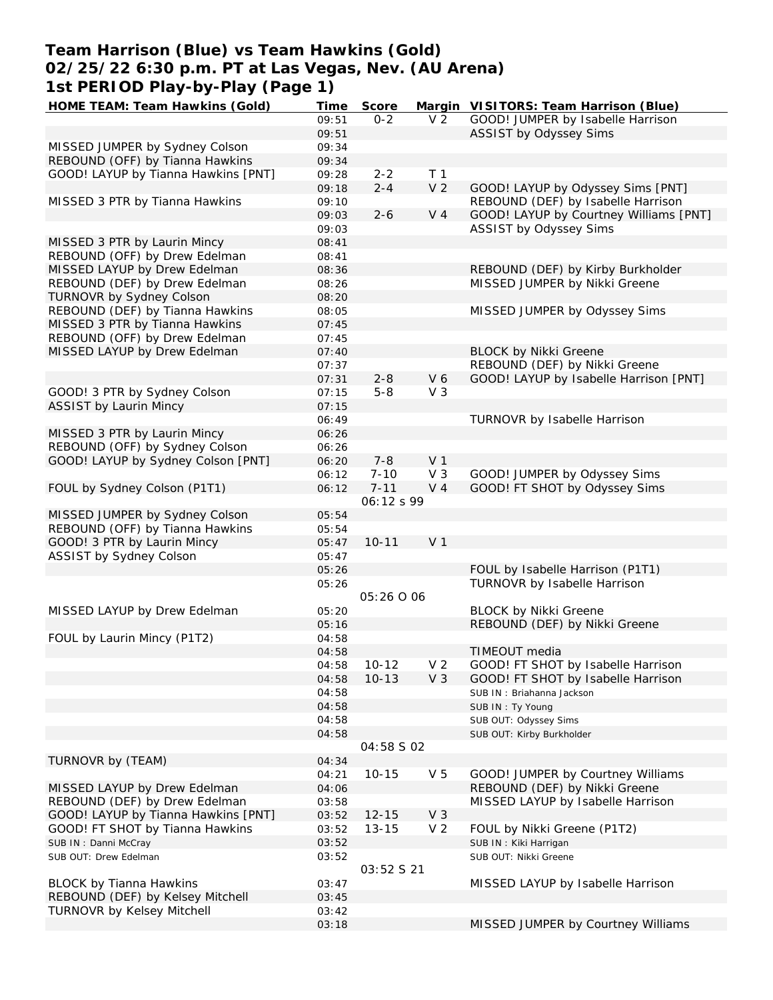# **Team Harrison (Blue) vs Team Hawkins (Gold) 02/25/22 6:30 p.m. PT at Las Vegas, Nev. (AU Arena) 1st PERIOD Play-by-Play (Page 1)**<br>HOME TEAM: Team Hawkins (Gold) Time

| ISL PERIOD PIAY-DY-PIAY (PAYE I)    |       |            |                |                                        |
|-------------------------------------|-------|------------|----------------|----------------------------------------|
| HOME TEAM: Team Hawkins (Gold)      | Time  | Score      |                | Margin VISITORS: Team Harrison (Blue)  |
|                                     | 09:51 | $0 - 2$    | V <sub>2</sub> | GOOD! JUMPER by Isabelle Harrison      |
|                                     | 09:51 |            |                | ASSIST by Odyssey Sims                 |
| MISSED JUMPER by Sydney Colson      | 09:34 |            |                |                                        |
| REBOUND (OFF) by Tianna Hawkins     | 09:34 |            |                |                                        |
| GOOD! LAYUP by Tianna Hawkins [PNT] | 09:28 | $2 - 2$    | T 1            |                                        |
|                                     | 09:18 | $2 - 4$    | V <sub>2</sub> | GOOD! LAYUP by Odyssey Sims [PNT]      |
|                                     |       |            |                |                                        |
| MISSED 3 PTR by Tianna Hawkins      | 09:10 |            |                | REBOUND (DEF) by Isabelle Harrison     |
|                                     | 09:03 | $2 - 6$    | V <sub>4</sub> | GOOD! LAYUP by Courtney Williams [PNT] |
|                                     | 09:03 |            |                | ASSIST by Odyssey Sims                 |
| MISSED 3 PTR by Laurin Mincy        | 08:41 |            |                |                                        |
| REBOUND (OFF) by Drew Edelman       | 08:41 |            |                |                                        |
| MISSED LAYUP by Drew Edelman        | 08:36 |            |                | REBOUND (DEF) by Kirby Burkholder      |
| REBOUND (DEF) by Drew Edelman       | 08:26 |            |                | MISSED JUMPER by Nikki Greene          |
| TURNOVR by Sydney Colson            | 08:20 |            |                |                                        |
| REBOUND (DEF) by Tianna Hawkins     | 08:05 |            |                | MISSED JUMPER by Odyssey Sims          |
| MISSED 3 PTR by Tianna Hawkins      | 07:45 |            |                |                                        |
| REBOUND (OFF) by Drew Edelman       | 07:45 |            |                |                                        |
| MISSED LAYUP by Drew Edelman        | 07:40 |            |                | <b>BLOCK by Nikki Greene</b>           |
|                                     | 07:37 |            |                | REBOUND (DEF) by Nikki Greene          |
|                                     | 07:31 | $2 - 8$    | V 6            | GOOD! LAYUP by Isabelle Harrison [PNT] |
| GOOD! 3 PTR by Sydney Colson        | 07:15 | $5 - 8$    | $V_3$          |                                        |
| <b>ASSIST by Laurin Mincy</b>       |       |            |                |                                        |
|                                     | 07:15 |            |                |                                        |
|                                     | 06:49 |            |                | TURNOVR by Isabelle Harrison           |
| MISSED 3 PTR by Laurin Mincy        | 06:26 |            |                |                                        |
| REBOUND (OFF) by Sydney Colson      | 06:26 |            |                |                                        |
| GOOD! LAYUP by Sydney Colson [PNT]  | 06:20 | $7 - 8$    | V <sub>1</sub> |                                        |
|                                     | 06:12 | $7 - 10$   | V <sub>3</sub> | GOOD! JUMPER by Odyssey Sims           |
| FOUL by Sydney Colson (P1T1)        | 06:12 | $7 - 11$   | V <sub>4</sub> | GOOD! FT SHOT by Odyssey Sims          |
|                                     |       | 06:12 s 99 |                |                                        |
| MISSED JUMPER by Sydney Colson      | 05:54 |            |                |                                        |
| REBOUND (OFF) by Tianna Hawkins     | 05:54 |            |                |                                        |
| GOOD! 3 PTR by Laurin Mincy         | 05:47 | $10 - 11$  | V <sub>1</sub> |                                        |
| ASSIST by Sydney Colson             | 05:47 |            |                |                                        |
|                                     | 05:26 |            |                | FOUL by Isabelle Harrison (P1T1)       |
|                                     | 05:26 |            |                | TURNOVR by Isabelle Harrison           |
|                                     |       | 05:26 0 06 |                |                                        |
| MISSED LAYUP by Drew Edelman        | 05:20 |            |                | <b>BLOCK by Nikki Greene</b>           |
|                                     | 05:16 |            |                | REBOUND (DEF) by Nikki Greene          |
| FOUL by Laurin Mincy (P1T2)         | 04:58 |            |                |                                        |
|                                     |       |            |                |                                        |
|                                     | 04:58 |            |                | TIMEOUT media                          |
|                                     | 04:58 | $10 - 12$  | V <sub>2</sub> | GOOD! FT SHOT by Isabelle Harrison     |
|                                     | 04:58 | $10 - 13$  | V <sub>3</sub> | GOOD! FT SHOT by Isabelle Harrison     |
|                                     | 04:58 |            |                | SUB IN: Briahanna Jackson              |
|                                     | 04:58 |            |                | SUB IN: Ty Young                       |
|                                     | 04:58 |            |                | SUB OUT: Odyssey Sims                  |
|                                     | 04:58 |            |                | SUB OUT: Kirby Burkholder              |
|                                     |       | 04:58 S 02 |                |                                        |
| TURNOVR by (TEAM)                   | 04:34 |            |                |                                        |
|                                     | 04:21 | $10 - 15$  | V <sub>5</sub> | GOOD! JUMPER by Courtney Williams      |
| MISSED LAYUP by Drew Edelman        | 04:06 |            |                | REBOUND (DEF) by Nikki Greene          |
| REBOUND (DEF) by Drew Edelman       | 03:58 |            |                | MISSED LAYUP by Isabelle Harrison      |
| GOOD! LAYUP by Tianna Hawkins [PNT] | 03:52 | $12 - 15$  | V <sub>3</sub> |                                        |
| GOOD! FT SHOT by Tianna Hawkins     | 03:52 | $13 - 15$  | V <sub>2</sub> | FOUL by Nikki Greene (P1T2)            |
| SUB IN: Danni McCray                | 03:52 |            |                | SUB IN: Kiki Harrigan                  |
|                                     | 03:52 |            |                |                                        |
| SUB OUT: Drew Edelman               |       |            |                | SUB OUT: Nikki Greene                  |
|                                     |       | 03:52 S 21 |                |                                        |
| <b>BLOCK by Tianna Hawkins</b>      | 03:47 |            |                | MISSED LAYUP by Isabelle Harrison      |
| REBOUND (DEF) by Kelsey Mitchell    | 03:45 |            |                |                                        |
| TURNOVR by Kelsey Mitchell          | 03:42 |            |                |                                        |
|                                     | 03:18 |            |                | MISSED JUMPER by Courtney Williams     |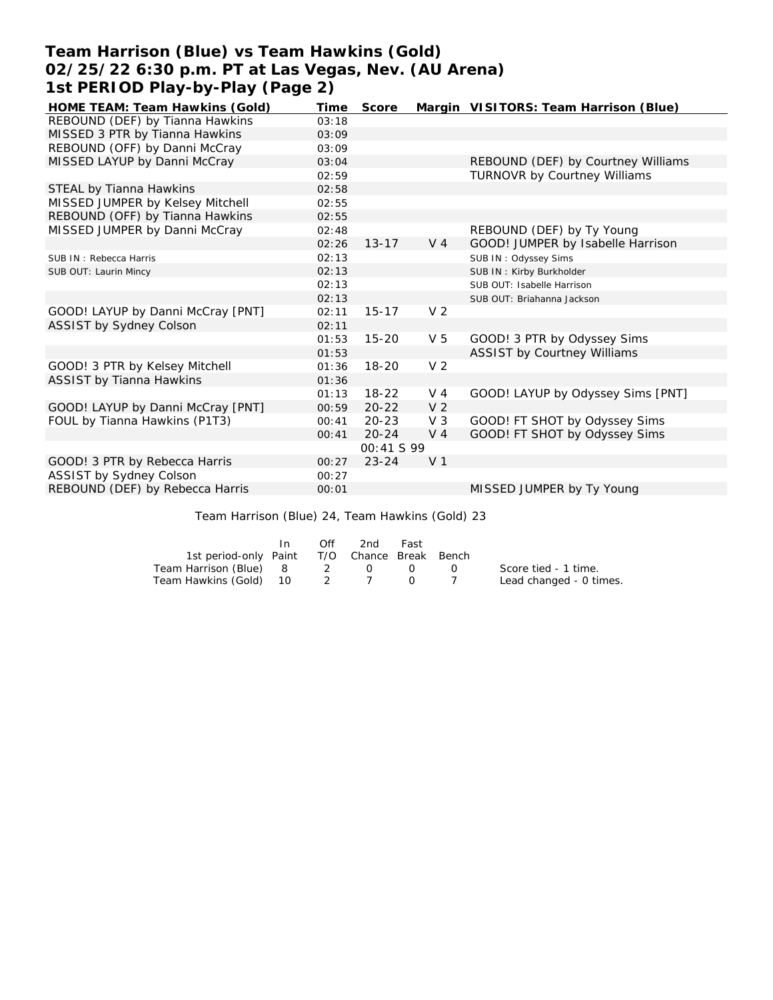# **Team Harrison (Blue) vs Team Hawkins (Gold) 02/25/22 6:30 p.m. PT at Las Vegas, Nev. (AU Arena) 1st PERIOD Play-by-Play (Page 2)**

| HOME TEAM: Team Hawkins (Gold)    | Time  | Score      |                | Margin VISITORS: Team Harrison (Blue) |
|-----------------------------------|-------|------------|----------------|---------------------------------------|
| REBOUND (DEF) by Tianna Hawkins   | 03:18 |            |                |                                       |
| MISSED 3 PTR by Tianna Hawkins    | 03:09 |            |                |                                       |
| REBOUND (OFF) by Danni McCray     | 03:09 |            |                |                                       |
| MISSED LAYUP by Danni McCray      | 03:04 |            |                | REBOUND (DEF) by Courtney Williams    |
|                                   | 02:59 |            |                | TURNOVR by Courtney Williams          |
| STEAL by Tianna Hawkins           | 02:58 |            |                |                                       |
| MISSED JUMPER by Kelsey Mitchell  | 02:55 |            |                |                                       |
| REBOUND (OFF) by Tianna Hawkins   | 02:55 |            |                |                                       |
| MISSED JUMPER by Danni McCray     | 02:48 |            |                | REBOUND (DEF) by Ty Young             |
|                                   | 02:26 | $13 - 17$  | $V_4$          | GOOD! JUMPER by Isabelle Harrison     |
| SUB IN: Rebecca Harris            | 02:13 |            |                | SUB IN: Odyssey Sims                  |
| SUB OUT: Laurin Mincy             | 02:13 |            |                | SUB IN: Kirby Burkholder              |
|                                   | 02:13 |            |                | SUB OUT: Isabelle Harrison            |
|                                   | 02:13 |            |                | SUB OUT: Briahanna Jackson            |
| GOOD! LAYUP by Danni McCray [PNT] | 02:11 | $15 - 17$  | V <sub>2</sub> |                                       |
| ASSIST by Sydney Colson           | 02:11 |            |                |                                       |
|                                   | 01:53 | $15 - 20$  | V <sub>5</sub> | GOOD! 3 PTR by Odyssey Sims           |
|                                   | 01:53 |            |                | <b>ASSIST by Courtney Williams</b>    |
| GOOD! 3 PTR by Kelsey Mitchell    | 01:36 | $18 - 20$  | V <sub>2</sub> |                                       |
| <b>ASSIST by Tianna Hawkins</b>   | 01:36 |            |                |                                       |
|                                   | 01:13 | $18-22$    | $V_4$          | GOOD! LAYUP by Odyssey Sims [PNT]     |
| GOOD! LAYUP by Danni McCray [PNT] | 00:59 | $20 - 22$  | V <sub>2</sub> |                                       |
| FOUL by Tianna Hawkins (P1T3)     | 00:41 | $20 - 23$  | $V_3$          | GOOD! FT SHOT by Odyssey Sims         |
|                                   | 00:41 | $20 - 24$  | V <sub>4</sub> | GOOD! FT SHOT by Odyssey Sims         |
|                                   |       | 00:41 S 99 |                |                                       |
| GOOD! 3 PTR by Rebecca Harris     | 00:27 | $23 - 24$  | V <sub>1</sub> |                                       |
| ASSIST by Sydney Colson           | 00:27 |            |                |                                       |
| REBOUND (DEF) by Rebecca Harris   | 00:01 |            |                | MISSED JUMPER by Ty Young             |

Team Harrison (Blue) 24, Team Hawkins (Gold) 23

|                                              | In. | Off      | 2nd | Fast             |                                               |                         |
|----------------------------------------------|-----|----------|-----|------------------|-----------------------------------------------|-------------------------|
| 1st period-only Paint T/O Chance Break Bench |     |          |     |                  |                                               |                         |
| Team Harrison (Blue) 8                       |     | $\sim$ 2 | - റ | $\left( \right)$ | $\left( \begin{array}{c} \end{array} \right)$ | Score tied - 1 time.    |
| Team Hawkins (Gold) 10 2 7                   |     |          |     |                  |                                               | Lead changed - 0 times. |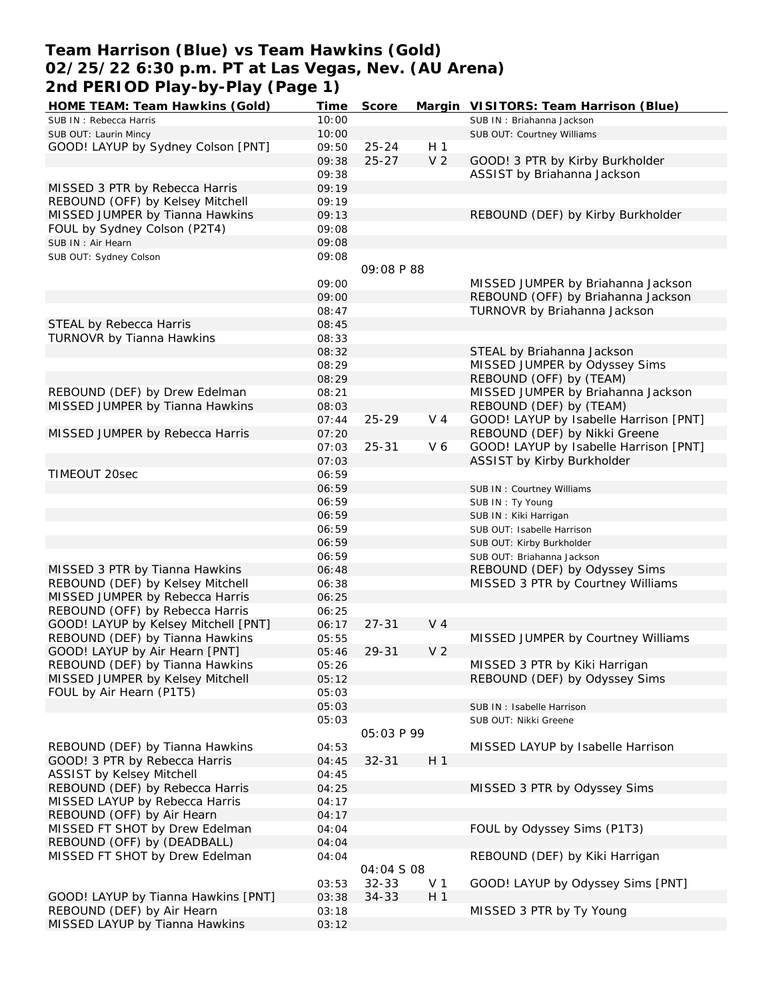# **Team Harrison (Blue) vs Team Hawkins (Gold) 02/25/22 6:30 p.m. PT at Las Vegas, Nev. (AU Arena) 2nd PERIOD Play-by-Play (Page 1)**

| HOME TEAM: Team Hawkins (Gold)       | Time  | Score             |                | Margin VISITORS: Team Harrison (Blue)  |
|--------------------------------------|-------|-------------------|----------------|----------------------------------------|
| SUB IN: Rebecca Harris               | 10:00 |                   |                | SUB IN: Briahanna Jackson              |
| SUB OUT: Laurin Mincy                | 10:00 |                   |                | SUB OUT: Courtney Williams             |
| GOOD! LAYUP by Sydney Colson [PNT]   | 09:50 | $25 - 24$         | H <sub>1</sub> |                                        |
|                                      | 09:38 | $25 - 27$         | V <sub>2</sub> | GOOD! 3 PTR by Kirby Burkholder        |
|                                      | 09:38 |                   |                | ASSIST by Briahanna Jackson            |
| MISSED 3 PTR by Rebecca Harris       | 09:19 |                   |                |                                        |
| REBOUND (OFF) by Kelsey Mitchell     | 09:19 |                   |                |                                        |
| MISSED JUMPER by Tianna Hawkins      | 09:13 |                   |                | REBOUND (DEF) by Kirby Burkholder      |
| FOUL by Sydney Colson (P2T4)         | 09:08 |                   |                |                                        |
| SUB IN : Air Hearn                   | 09:08 |                   |                |                                        |
| SUB OUT: Sydney Colson               | 09:08 |                   |                |                                        |
|                                      |       | 09:08 P 88        |                |                                        |
|                                      | 09:00 |                   |                | MISSED JUMPER by Briahanna Jackson     |
|                                      | 09:00 |                   |                | REBOUND (OFF) by Briahanna Jackson     |
|                                      | 08:47 |                   |                | TURNOVR by Briahanna Jackson           |
| STEAL by Rebecca Harris              | 08:45 |                   |                |                                        |
| TURNOVR by Tianna Hawkins            | 08:33 |                   |                |                                        |
|                                      | 08:32 |                   |                | STEAL by Briahanna Jackson             |
|                                      | 08:29 |                   |                | MISSED JUMPER by Odyssey Sims          |
|                                      | 08:29 |                   |                | REBOUND (OFF) by (TEAM)                |
| REBOUND (DEF) by Drew Edelman        |       |                   |                | MISSED JUMPER by Briahanna Jackson     |
|                                      | 08:21 |                   |                |                                        |
| MISSED JUMPER by Tianna Hawkins      | 08:03 |                   |                | REBOUND (DEF) by (TEAM)                |
|                                      | 07:44 | $25 - 29$         | V <sub>4</sub> | GOOD! LAYUP by Isabelle Harrison [PNT] |
| MISSED JUMPER by Rebecca Harris      | 07:20 |                   |                | REBOUND (DEF) by Nikki Greene          |
|                                      | 07:03 | $25 - 31$         | V6             | GOOD! LAYUP by Isabelle Harrison [PNT] |
|                                      | 07:03 |                   |                | ASSIST by Kirby Burkholder             |
| TIMEOUT 20sec                        | 06:59 |                   |                |                                        |
|                                      | 06:59 |                   |                | SUB IN: Courtney Williams              |
|                                      | 06:59 |                   |                | SUB IN: Ty Young                       |
|                                      | 06:59 |                   |                | SUB IN: Kiki Harrigan                  |
|                                      | 06:59 |                   |                | SUB OUT: Isabelle Harrison             |
|                                      | 06:59 |                   |                | SUB OUT: Kirby Burkholder              |
|                                      | 06:59 |                   |                | SUB OUT: Briahanna Jackson             |
| MISSED 3 PTR by Tianna Hawkins       | 06:48 |                   |                | REBOUND (DEF) by Odyssey Sims          |
| REBOUND (DEF) by Kelsey Mitchell     | 06:38 |                   |                | MISSED 3 PTR by Courtney Williams      |
| MISSED JUMPER by Rebecca Harris      | 06:25 |                   |                |                                        |
| REBOUND (OFF) by Rebecca Harris      | 06:25 |                   |                |                                        |
| GOOD! LAYUP by Kelsey Mitchell [PNT] | 06:17 | $27 - 31$         | $V_4$          |                                        |
| REBOUND (DEF) by Tianna Hawkins      | 05:55 |                   |                | MISSED JUMPER by Courtney Williams     |
| GOOD! LAYUP by Air Hearn [PNT]       | 05:46 | 29-31             | V <sub>2</sub> |                                        |
| REBOUND (DEF) by Tianna Hawkins      | 05:26 |                   |                | MISSED 3 PTR by Kiki Harrigan          |
| MISSED JUMPER by Kelsey Mitchell     | 05:12 |                   |                | REBOUND (DEF) by Odyssey Sims          |
| FOUL by Air Hearn (P1T5)             | 05:03 |                   |                |                                        |
|                                      | 05:03 |                   |                | SUB IN: Isabelle Harrison              |
|                                      | 05:03 |                   |                | SUB OUT: Nikki Greene                  |
|                                      |       | <i>05:03 P 99</i> |                |                                        |
| REBOUND (DEF) by Tianna Hawkins      | 04:53 |                   |                | MISSED LAYUP by Isabelle Harrison      |
| GOOD! 3 PTR by Rebecca Harris        | 04:45 | $32 - 31$         | H <sub>1</sub> |                                        |
| <b>ASSIST by Kelsey Mitchell</b>     | 04:45 |                   |                |                                        |
| REBOUND (DEF) by Rebecca Harris      | 04:25 |                   |                | MISSED 3 PTR by Odyssey Sims           |
| MISSED LAYUP by Rebecca Harris       | 04:17 |                   |                |                                        |
| REBOUND (OFF) by Air Hearn           | 04:17 |                   |                |                                        |
| MISSED FT SHOT by Drew Edelman       | 04:04 |                   |                | FOUL by Odyssey Sims (P1T3)            |
| REBOUND (OFF) by (DEADBALL)          | 04:04 |                   |                |                                        |
| MISSED FT SHOT by Drew Edelman       |       |                   |                | REBOUND (DEF) by Kiki Harrigan         |
|                                      | 04:04 | 04:04 S 08        |                |                                        |
|                                      | 03:53 | $32 - 33$         | V <sub>1</sub> | GOOD! LAYUP by Odyssey Sims [PNT]      |
| GOOD! LAYUP by Tianna Hawkins [PNT]  | 03:38 | 34-33             | H <sub>1</sub> |                                        |
| REBOUND (DEF) by Air Hearn           | 03:18 |                   |                | MISSED 3 PTR by Ty Young               |
| MISSED LAYUP by Tianna Hawkins       | 03:12 |                   |                |                                        |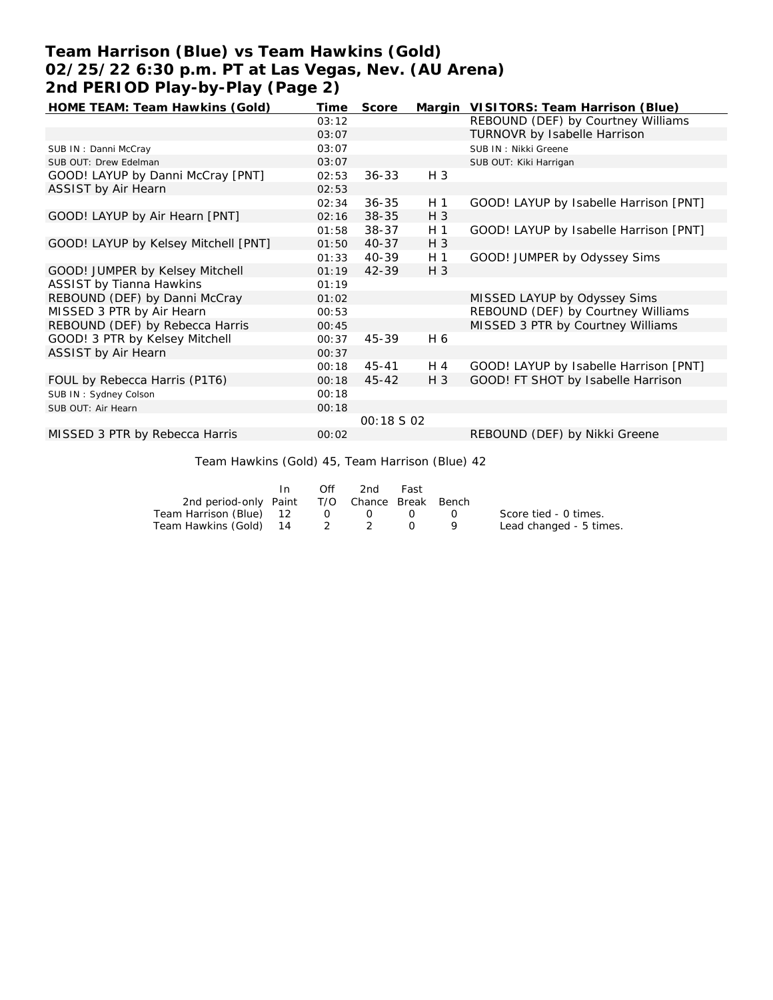# **Team Harrison (Blue) vs Team Hawkins (Gold) 02/25/22 6:30 p.m. PT at Las Vegas, Nev. (AU Arena) 2nd PERIOD Play-by-Play (Page 2)**

| HOME TEAM: Team Hawkins (Gold)       | Time  | Score             |                | Margin VISITORS: Team Harrison (Blue)  |
|--------------------------------------|-------|-------------------|----------------|----------------------------------------|
|                                      | 03:12 |                   |                | REBOUND (DEF) by Courtney Williams     |
|                                      | 03:07 |                   |                | <b>TURNOVR by Isabelle Harrison</b>    |
| SUB IN: Danni McCray                 | 03:07 |                   |                | SUB IN: Nikki Greene                   |
| SUB OUT: Drew Edelman                | 03:07 |                   |                | SUB OUT: Kiki Harrigan                 |
| GOOD! LAYUP by Danni McCray [PNT]    | 02:53 | $36 - 33$         | $H_3$          |                                        |
| ASSIST by Air Hearn                  | 02:53 |                   |                |                                        |
|                                      | 02:34 | $36 - 35$         | H 1            | GOOD! LAYUP by Isabelle Harrison [PNT] |
| GOOD! LAYUP by Air Hearn [PNT]       | 02:16 | 38-35             | H 3            |                                        |
|                                      | 01:58 | $38 - 37$         | H <sub>1</sub> | GOOD! LAYUP by Isabelle Harrison [PNT] |
| GOOD! LAYUP by Kelsey Mitchell [PNT] | 01:50 | $40 - 37$         | $H_3$          |                                        |
|                                      | 01:33 | 40-39             | H 1            | GOOD! JUMPER by Odyssey Sims           |
| GOOD! JUMPER by Kelsey Mitchell      | 01:19 | 42-39             | $H_3$          |                                        |
| <b>ASSIST by Tianna Hawkins</b>      | 01:19 |                   |                |                                        |
| REBOUND (DEF) by Danni McCray        | 01:02 |                   |                | MISSED LAYUP by Odyssey Sims           |
| MISSED 3 PTR by Air Hearn            | 00:53 |                   |                | REBOUND (DEF) by Courtney Williams     |
| REBOUND (DEF) by Rebecca Harris      | 00:45 |                   |                | MISSED 3 PTR by Courtney Williams      |
| GOOD! 3 PTR by Kelsey Mitchell       | 00:37 | 45-39             | H 6            |                                        |
| ASSIST by Air Hearn                  | 00:37 |                   |                |                                        |
|                                      | 00:18 | $45 - 41$         | H 4            | GOOD! LAYUP by Isabelle Harrison [PNT] |
| FOUL by Rebecca Harris (P1T6)        | 00:18 | $45 - 42$         | $H_3$          | GOOD! FT SHOT by Isabelle Harrison     |
| SUB IN: Sydney Colson                | 00:18 |                   |                |                                        |
| SUB OUT: Air Hearn                   | 00:18 |                   |                |                                        |
|                                      |       | <i>00:18 S 02</i> |                |                                        |
| MISSED 3 PTR by Rebecca Harris       | 00:02 |                   |                | REBOUND (DEF) by Nikki Greene          |

Team Hawkins (Gold) 45, Team Harrison (Blue) 42

|                                              | In. | Off | 2nd                                        | Fast |                         |
|----------------------------------------------|-----|-----|--------------------------------------------|------|-------------------------|
| 2nd period-only Paint T/O Chance Break Bench |     |     |                                            |      |                         |
| Team Harrison (Blue) 12                      |     |     | $\begin{array}{ccc} 0 & 0 & 0 \end{array}$ |      | Score tied - 0 times.   |
| Team Hawkins (Gold) 14 2 2 2                 |     |     |                                            |      | Lead changed - 5 times. |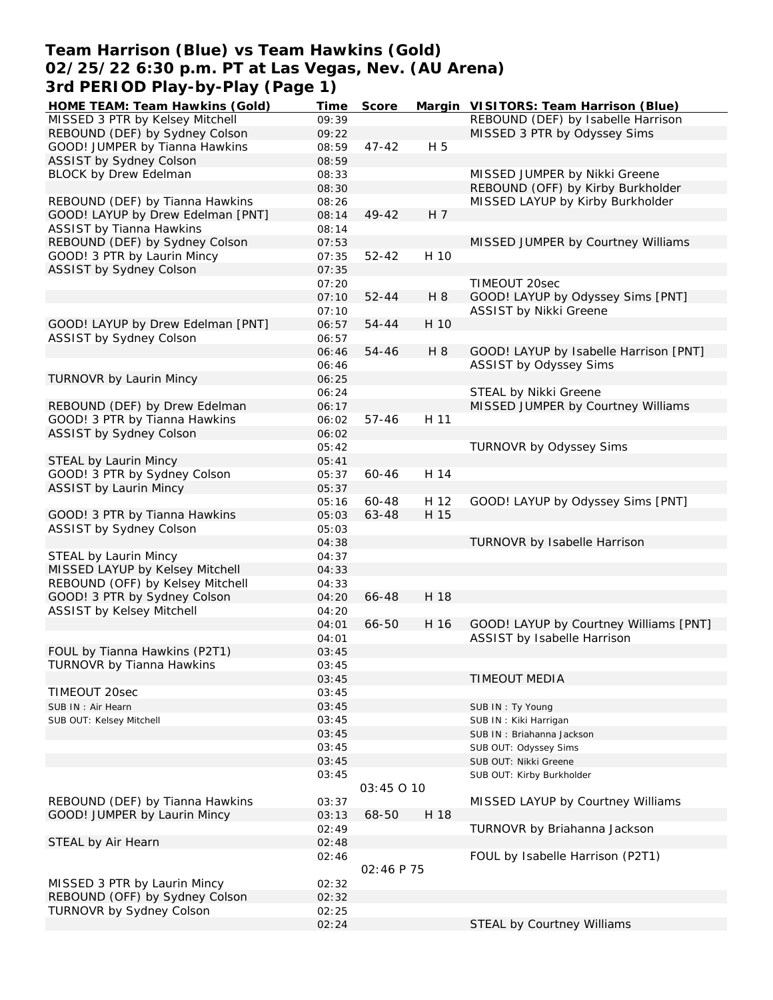## **Team Harrison (Blue) vs Team Hawkins (Gold) 02/25/22 6:30 p.m. PT at Las Vegas, Nev. (AU Arena) 3rd PERIOD Play-by-Play (Page 1)**

| HOME TEAM: Team Hawkins (Gold)    | Time  | Score      |      | Margin VISITORS: Team Harrison (Blue)  |
|-----------------------------------|-------|------------|------|----------------------------------------|
| MISSED 3 PTR by Kelsey Mitchell   | 09:39 |            |      | REBOUND (DEF) by Isabelle Harrison     |
| REBOUND (DEF) by Sydney Colson    | 09:22 |            |      | MISSED 3 PTR by Odyssey Sims           |
| GOOD! JUMPER by Tianna Hawkins    | 08:59 | $47 - 42$  | H 5  |                                        |
| ASSIST by Sydney Colson           | 08:59 |            |      |                                        |
| <b>BLOCK by Drew Edelman</b>      | 08:33 |            |      | MISSED JUMPER by Nikki Greene          |
|                                   | 08:30 |            |      | REBOUND (OFF) by Kirby Burkholder      |
| REBOUND (DEF) by Tianna Hawkins   | 08:26 |            |      | MISSED LAYUP by Kirby Burkholder       |
|                                   |       | 49-42      | H 7  |                                        |
| GOOD! LAYUP by Drew Edelman [PNT] | 08:14 |            |      |                                        |
| <b>ASSIST by Tianna Hawkins</b>   | 08:14 |            |      |                                        |
| REBOUND (DEF) by Sydney Colson    | 07:53 |            |      | MISSED JUMPER by Courtney Williams     |
| GOOD! 3 PTR by Laurin Mincy       | 07:35 | $52 - 42$  | H 10 |                                        |
| ASSIST by Sydney Colson           | 07:35 |            |      |                                        |
|                                   | 07:20 |            |      | TIMEOUT 20sec                          |
|                                   | 07:10 | $52 - 44$  | H 8  | GOOD! LAYUP by Odyssey Sims [PNT]      |
|                                   | 07:10 |            |      | ASSIST by Nikki Greene                 |
| GOOD! LAYUP by Drew Edelman [PNT] | 06:57 | 54-44      | H 10 |                                        |
| ASSIST by Sydney Colson           | 06:57 |            |      |                                        |
|                                   | 06:46 | 54-46      | H 8  | GOOD! LAYUP by Isabelle Harrison [PNT] |
|                                   | 06:46 |            |      | ASSIST by Odyssey Sims                 |
| TURNOVR by Laurin Mincy           | 06:25 |            |      |                                        |
|                                   |       |            |      |                                        |
|                                   | 06:24 |            |      | STEAL by Nikki Greene                  |
| REBOUND (DEF) by Drew Edelman     | 06:17 |            |      | MISSED JUMPER by Courtney Williams     |
| GOOD! 3 PTR by Tianna Hawkins     | 06:02 | $57 - 46$  | H 11 |                                        |
| ASSIST by Sydney Colson           | 06:02 |            |      |                                        |
|                                   | 05:42 |            |      | TURNOVR by Odyssey Sims                |
| STEAL by Laurin Mincy             | 05:41 |            |      |                                        |
| GOOD! 3 PTR by Sydney Colson      | 05:37 | 60-46      | H 14 |                                        |
| ASSIST by Laurin Mincy            | 05:37 |            |      |                                        |
|                                   | 05:16 | 60-48      | H 12 | GOOD! LAYUP by Odyssey Sims [PNT]      |
| GOOD! 3 PTR by Tianna Hawkins     | 05:03 | 63-48      | H 15 |                                        |
| ASSIST by Sydney Colson           | 05:03 |            |      |                                        |
|                                   | 04:38 |            |      | TURNOVR by Isabelle Harrison           |
| STEAL by Laurin Mincy             | 04:37 |            |      |                                        |
| MISSED LAYUP by Kelsey Mitchell   | 04:33 |            |      |                                        |
| REBOUND (OFF) by Kelsey Mitchell  | 04:33 |            |      |                                        |
|                                   |       |            | H 18 |                                        |
| GOOD! 3 PTR by Sydney Colson      | 04:20 | 66-48      |      |                                        |
| ASSIST by Kelsey Mitchell         | 04:20 |            |      |                                        |
|                                   | 04:01 | 66-50      | H 16 | GOOD! LAYUP by Courtney Williams [PNT] |
|                                   | 04:01 |            |      | ASSIST by Isabelle Harrison            |
| FOUL by Tianna Hawkins (P2T1)     | 03:45 |            |      |                                        |
| TURNOVR by Tianna Hawkins         | 03:45 |            |      |                                        |
|                                   | 03:45 |            |      | <b>TIMEOUT MEDIA</b>                   |
| TIMEOUT 20sec                     | 03:45 |            |      |                                        |
| SUB IN: Air Hearn                 | 03:45 |            |      | SUB IN: Ty Young                       |
| SUB OUT: Kelsey Mitchell          | 03:45 |            |      | SUB IN: Kiki Harrigan                  |
|                                   | 03:45 |            |      | SUB IN: Briahanna Jackson              |
|                                   | 03:45 |            |      | SUB OUT: Odyssey Sims                  |
|                                   | 03:45 |            |      | SUB OUT: Nikki Greene                  |
|                                   | 03:45 |            |      | SUB OUT: Kirby Burkholder              |
|                                   |       | 03:45 0 10 |      |                                        |
| REBOUND (DEF) by Tianna Hawkins   |       |            |      | MISSED LAYUP by Courtney Williams      |
|                                   | 03:37 |            |      |                                        |
| GOOD! JUMPER by Laurin Mincy      | 03:13 | 68-50      | H 18 |                                        |
|                                   | 02:49 |            |      | TURNOVR by Briahanna Jackson           |
| STEAL by Air Hearn                | 02:48 |            |      |                                        |
|                                   | 02:46 | 02:46 P 75 |      | FOUL by Isabelle Harrison (P2T1)       |
| MISSED 3 PTR by Laurin Mincy      | 02:32 |            |      |                                        |
| REBOUND (OFF) by Sydney Colson    | 02:32 |            |      |                                        |
| TURNOVR by Sydney Colson          |       |            |      |                                        |
|                                   | 02:25 |            |      |                                        |
|                                   | 02:24 |            |      | STEAL by Courtney Williams             |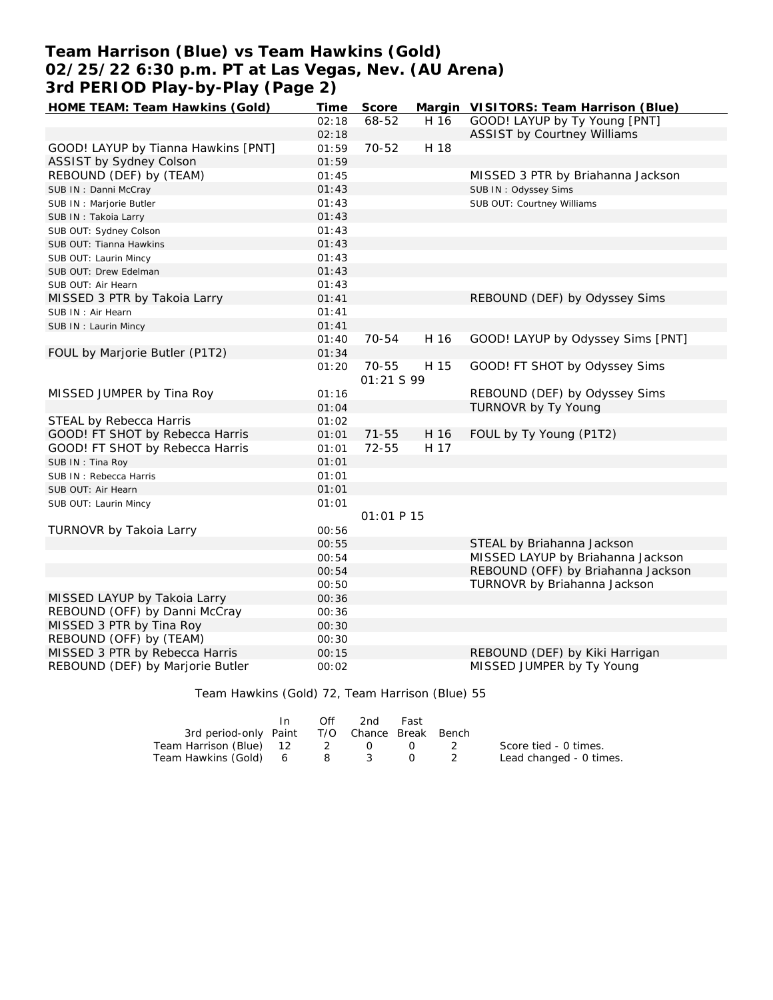# **Team Harrison (Blue) vs Team Hawkins (Gold) 02/25/22 6:30 p.m. PT at Las Vegas, Nev. (AU Arena) 3rd PERIOD Play-by-Play (Page 2)**

| HOME TEAM: Team Hawkins (Gold)      | Time  | Score      |      | Margin VISITORS: Team Harrison (Blue) |
|-------------------------------------|-------|------------|------|---------------------------------------|
|                                     | 02:18 | 68-52      | H 16 | GOOD! LAYUP by Ty Young [PNT]         |
|                                     | 02:18 |            |      | <b>ASSIST by Courtney Williams</b>    |
| GOOD! LAYUP by Tianna Hawkins [PNT] | 01:59 | $70 - 52$  | H 18 |                                       |
| ASSIST by Sydney Colson             | 01:59 |            |      |                                       |
| REBOUND (DEF) by (TEAM)             | 01:45 |            |      | MISSED 3 PTR by Briahanna Jackson     |
| SUB IN: Danni McCray                | 01:43 |            |      | SUB IN: Odyssey Sims                  |
| SUB IN : Marjorie Butler            | 01:43 |            |      | SUB OUT: Courtney Williams            |
| SUB IN: Takoia Larry                | 01:43 |            |      |                                       |
| SUB OUT: Sydney Colson              | 01:43 |            |      |                                       |
| SUB OUT: Tianna Hawkins             | 01:43 |            |      |                                       |
| SUB OUT: Laurin Mincy               | 01:43 |            |      |                                       |
| SUB OUT: Drew Edelman               | 01:43 |            |      |                                       |
| SUB OUT: Air Hearn                  | 01:43 |            |      |                                       |
| MISSED 3 PTR by Takoia Larry        | 01:41 |            |      | REBOUND (DEF) by Odyssey Sims         |
| SUB IN: Air Hearn                   | 01:41 |            |      |                                       |
| SUB IN: Laurin Mincy                | 01:41 |            |      |                                       |
|                                     | 01:40 | 70-54      | H 16 | GOOD! LAYUP by Odyssey Sims [PNT]     |
| FOUL by Marjorie Butler (P1T2)      | 01:34 |            |      |                                       |
|                                     | 01:20 | 70-55      | H 15 | GOOD! FT SHOT by Odyssey Sims         |
|                                     |       | 01:21 S 99 |      |                                       |
| MISSED JUMPER by Tina Roy           | 01:16 |            |      | REBOUND (DEF) by Odyssey Sims         |
|                                     | 01:04 |            |      | TURNOVR by Ty Young                   |
| STEAL by Rebecca Harris             | 01:02 |            |      |                                       |
| GOOD! FT SHOT by Rebecca Harris     | 01:01 | $71 - 55$  | H 16 | FOUL by Ty Young (P1T2)               |
| GOOD! FT SHOT by Rebecca Harris     | 01:01 | 72-55      | H 17 |                                       |
| SUB IN: Tina Roy                    | 01:01 |            |      |                                       |
| SUB IN: Rebecca Harris              | 01:01 |            |      |                                       |
| SUB OUT: Air Hearn                  | 01:01 |            |      |                                       |
| SUB OUT: Laurin Mincy               | 01:01 |            |      |                                       |
|                                     |       | 01:01 P 15 |      |                                       |
| TURNOVR by Takoia Larry             | 00:56 |            |      |                                       |
|                                     | 00:55 |            |      | STEAL by Briahanna Jackson            |
|                                     | 00:54 |            |      | MISSED LAYUP by Briahanna Jackson     |
|                                     | 00:54 |            |      | REBOUND (OFF) by Briahanna Jackson    |
|                                     | 00:50 |            |      | TURNOVR by Briahanna Jackson          |
| MISSED LAYUP by Takoia Larry        | 00:36 |            |      |                                       |
| REBOUND (OFF) by Danni McCray       | 00:36 |            |      |                                       |
| MISSED 3 PTR by Tina Roy            | 00:30 |            |      |                                       |
| REBOUND (OFF) by (TEAM)             | 00:30 |            |      |                                       |
| MISSED 3 PTR by Rebecca Harris      | 00:15 |            |      | REBOUND (DEF) by Kiki Harrigan        |
| REBOUND (DEF) by Marjorie Butler    | 00:02 |            |      | MISSED JUMPER by Ty Young             |

Team Hawkins (Gold) 72, Team Harrison (Blue) 55

|                                              | $\mathsf{In}$ | Off | 2nd | Fast                                       |                         |
|----------------------------------------------|---------------|-----|-----|--------------------------------------------|-------------------------|
| 3rd period-only Paint T/O Chance Break Bench |               |     |     |                                            |                         |
| Team Harrison (Blue) 12 2                    |               |     |     | $\begin{array}{ccc} 0 & 0 & 2 \end{array}$ | Score tied - 0 times.   |
| Team Hawkins (Gold) 6 8                      |               |     |     |                                            | Lead changed - 0 times. |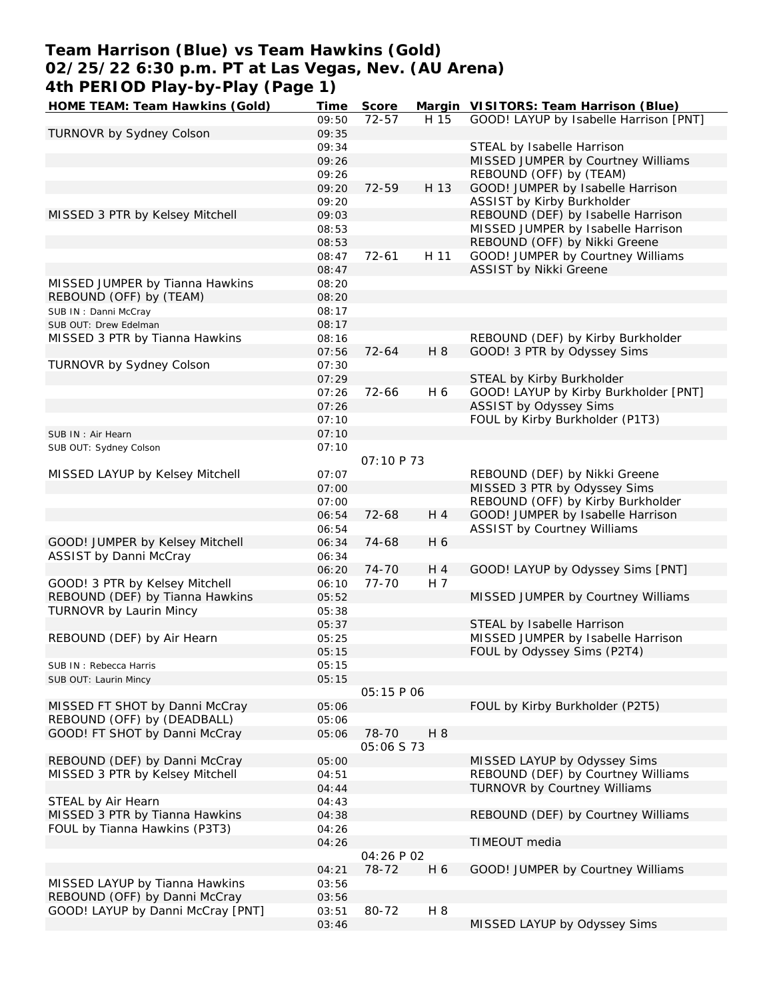# **Team Harrison (Blue) vs Team Hawkins (Gold) 02/25/22 6:30 p.m. PT at Las Vegas, Nev. (AU Arena) 4th PERIOD Play-by-Play (Page 1)**

**HOME TEAM: Team Hawkins (Gold) Time Score Margin VISITORS: Team Harrison (Blue)** 09:50 72-57 H 15 GOOD! LAYUP by Isabelle Harrison [PNT] TURNOVR by Sydney Colson 09:35 09:34 STEAL by Isabelle Harrison 09:26 MISSED JUMPER by Courtney Williams 09:26 REBOUND (OFF) by (TEAM) 09:20 72-59 H 13 GOOD! JUMPER by Isabelle Harrison 09:20 ASSIST by Kirby Burkholder MISSED 3 PTR by Kelsey Mitchell 09:03 REBOUND (DEF) by Isabelle Harrison 08:53 MISSED JUMPER by Isabelle Harrison 08:53 REBOUND (OFF) by Nikki Greene 08:47 72-61 H 11 GOOD! JUMPER by Courtney Williams 08:47 ASSIST by Nikki Greene MISSED JUMPER by Tianna Hawkins 08:20 REBOUND (OFF) by (TEAM) 08:20 SUB IN: Danni McCray 08:17 SUB OUT: Drew Edelman 08:17 MISSED 3 PTR by Tianna Hawkins 08:16 COMBINE REBOUND (DEF) by Kirby Burkholder 07:56 72-64 H 8 GOOD! 3 PTR by Odyssey Sims TURNOVR by Sydney Colson **07:30** 07:29 STEAL by Kirby Burkholder 07:26 72-66 H 6 GOOD! LAYUP by Kirby Burkholder [PNT] 07:26 ASSIST by Odyssey Sims 07:10 FOUL by Kirby Burkholder (P1T3) SUB IN: Air Hearn 07:10 SUB OUT: Sydney Colson 07:10  *07:10 P 73* MISSED LAYUP by Kelsey Mitchell **07:07** 07:07 REBOUND (DEF) by Nikki Greene 07:00 MISSED 3 PTR by Odyssey Sims 07:00 REBOUND (OFF) by Kirby Burkholder 06:54 72-68 H 4 GOOD! JUMPER by Isabelle Harrison 06:54 ASSIST by Courtney Williams GOOD! JUMPER by Kelsey Mitchell 06:34 74-68 H 6 ASSIST by Danni McCray **1988** 06:34 06:20 74-70 H 4 GOOD! LAYUP by Odyssey Sims [PNT] GOOD! 3 PTR by Kelsey Mitchell  $06:10$   $77-70$  H 7 REBOUND (DEF) by Tianna Hawkins 05:52 MISSED JUMPER by Courtney Williams TURNOVR by Laurin Mincy **Canadian Communist Communist Communist Communist Communist Communist Communist Communist Communist Communist Communist Communist Communist Communist Communist Communist Communist Communist Communis** 05:37 STEAL by Isabelle Harrison REBOUND (DEF) by Air Hearn 05:25 MISSED JUMPER by Isabelle Harrison 05:15 FOUL by Odyssey Sims (P2T4) SUB IN: Rebecca Harris 05:15 SUB OUT: Laurin Mincy **05:15**  *05:15 P 06* MISSED FT SHOT by Danni McCray 05:06 FOUL by Kirby Burkholder (P2T5) REBOUND (OFF) by (DEADBALL) 05:06 GOOD! FT SHOT by Danni McCray 05:06 78-70 H 8  *05:06 S 73* REBOUND (DEF) by Danni McCray 05:00 MISSED LAYUP by Odyssey Sims MISSED 3 PTR by Kelsey Mitchell 04:51 REBOUND (DEF) by Courtney Williams 04:44 TURNOVR by Courtney Williams STEAL by Air Hearn 04:43 MISSED 3 PTR by Tianna Hawkins 04:38 REBOUND (DEF) by Courtney Williams FOUL by Tianna Hawkins (P3T3) 04:26 04:26 TIMEOUT media  *04:26 P 02* 04:21 78-72 H 6 GOOD! JUMPER by Courtney Williams MISSED LAYUP by Tianna Hawkins 03:56 REBOUND (OFF) by Danni McCray 03:56 GOOD! LAYUP by Danni McCray [PNT] 03:51 80-72 H 8 03:46 MISSED LAYUP by Odyssey Sims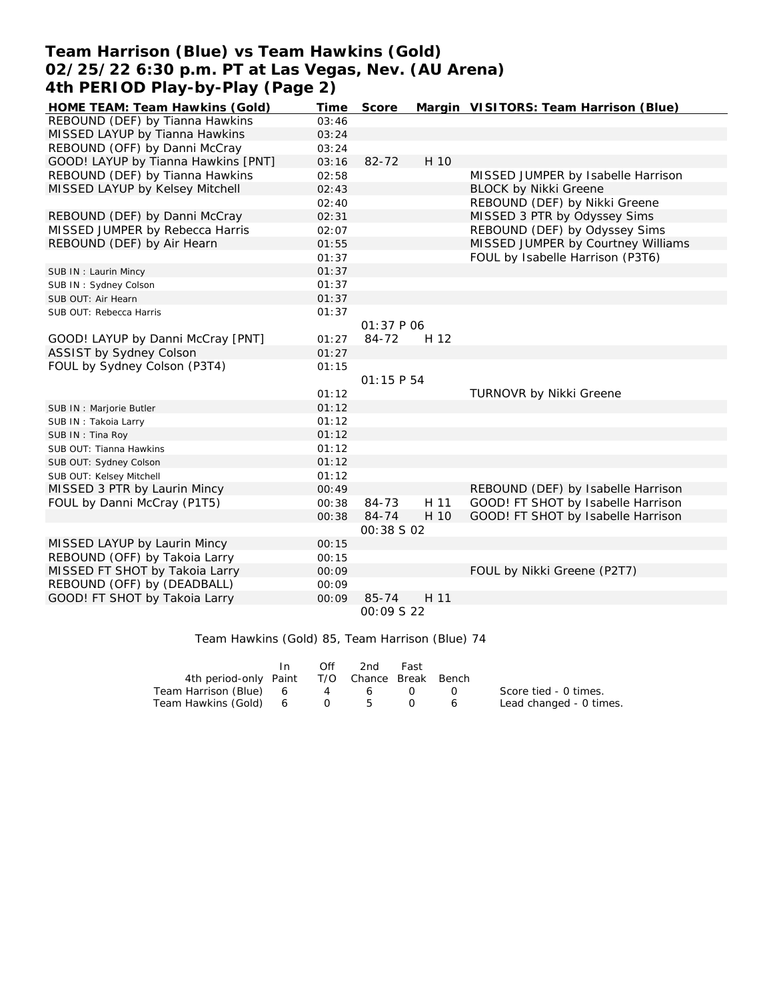## **Team Harrison (Blue) vs Team Hawkins (Gold) 02/25/22 6:30 p.m. PT at Las Vegas, Nev. (AU Arena) 4th PERIOD Play-by-Play (Page 2)**

| HOME TEAM: Team Hawkins (Gold)      | Time  | Score             |      | Margin VISITORS: Team Harrison (Blue) |
|-------------------------------------|-------|-------------------|------|---------------------------------------|
| REBOUND (DEF) by Tianna Hawkins     | 03:46 |                   |      |                                       |
| MISSED LAYUP by Tianna Hawkins      | 03:24 |                   |      |                                       |
| REBOUND (OFF) by Danni McCray       | 03:24 |                   |      |                                       |
| GOOD! LAYUP by Tianna Hawkins [PNT] | 03:16 | $82 - 72$         | H 10 |                                       |
| REBOUND (DEF) by Tianna Hawkins     | 02:58 |                   |      | MISSED JUMPER by Isabelle Harrison    |
| MISSED LAYUP by Kelsey Mitchell     | 02:43 |                   |      | <b>BLOCK by Nikki Greene</b>          |
|                                     | 02:40 |                   |      | REBOUND (DEF) by Nikki Greene         |
| REBOUND (DEF) by Danni McCray       | 02:31 |                   |      | MISSED 3 PTR by Odyssey Sims          |
| MISSED JUMPER by Rebecca Harris     | 02:07 |                   |      | REBOUND (DEF) by Odyssey Sims         |
| REBOUND (DEF) by Air Hearn          | 01:55 |                   |      | MISSED JUMPER by Courtney Williams    |
|                                     | 01:37 |                   |      | FOUL by Isabelle Harrison (P3T6)      |
| SUB IN: Laurin Mincy                | 01:37 |                   |      |                                       |
| SUB IN: Sydney Colson               | 01:37 |                   |      |                                       |
| SUB OUT: Air Hearn                  | 01:37 |                   |      |                                       |
| SUB OUT: Rebecca Harris             | 01:37 |                   |      |                                       |
|                                     |       | 01:37 P 06        |      |                                       |
| GOOD! LAYUP by Danni McCray [PNT]   | 01:27 | 84-72             | H 12 |                                       |
| <b>ASSIST by Sydney Colson</b>      | 01:27 |                   |      |                                       |
| FOUL by Sydney Colson (P3T4)        | 01:15 |                   |      |                                       |
|                                     |       | 01:15P54          |      |                                       |
|                                     | 01:12 |                   |      | TURNOVR by Nikki Greene               |
| SUB IN : Marjorie Butler            | 01:12 |                   |      |                                       |
| SUB IN: Takoia Larry                | 01:12 |                   |      |                                       |
| SUB IN: Tina Roy                    | 01:12 |                   |      |                                       |
| SUB OUT: Tianna Hawkins             | 01:12 |                   |      |                                       |
| SUB OUT: Sydney Colson              | 01:12 |                   |      |                                       |
| SUB OUT: Kelsey Mitchell            | 01:12 |                   |      |                                       |
| MISSED 3 PTR by Laurin Mincy        | 00:49 |                   |      | REBOUND (DEF) by Isabelle Harrison    |
| FOUL by Danni McCray (P1T5)         | 00:38 | 84-73             | H 11 | GOOD! FT SHOT by Isabelle Harrison    |
|                                     | 00:38 | 84-74             | H 10 | GOOD! FT SHOT by Isabelle Harrison    |
|                                     |       | <i>00:38 S 02</i> |      |                                       |
| MISSED LAYUP by Laurin Mincy        | 00:15 |                   |      |                                       |
| REBOUND (OFF) by Takoia Larry       | 00:15 |                   |      |                                       |
| MISSED FT SHOT by Takoia Larry      | 00:09 |                   |      | FOUL by Nikki Greene (P2T7)           |
| REBOUND (OFF) by (DEADBALL)         | 00:09 |                   |      |                                       |
| GOOD! FT SHOT by Takoia Larry       | 00:09 | 85-74             | H 11 |                                       |
|                                     |       | 00:09 S 22        |      |                                       |

Team Hawkins (Gold) 85, Team Harrison (Blue) 74

|                                              | In. | Off | 2nd | Fast |                                               |                         |
|----------------------------------------------|-----|-----|-----|------|-----------------------------------------------|-------------------------|
| 4th period-only Paint T/O Chance Break Bench |     |     |     |      |                                               |                         |
| Team Harrison (Blue) 6                       |     | 4   | 6   |      | $\left( \begin{array}{c} \end{array} \right)$ | Score tied - 0 times.   |
| Team Hawkins (Gold) 6 0 5                    |     |     |     |      | 6                                             | Lead changed - 0 times. |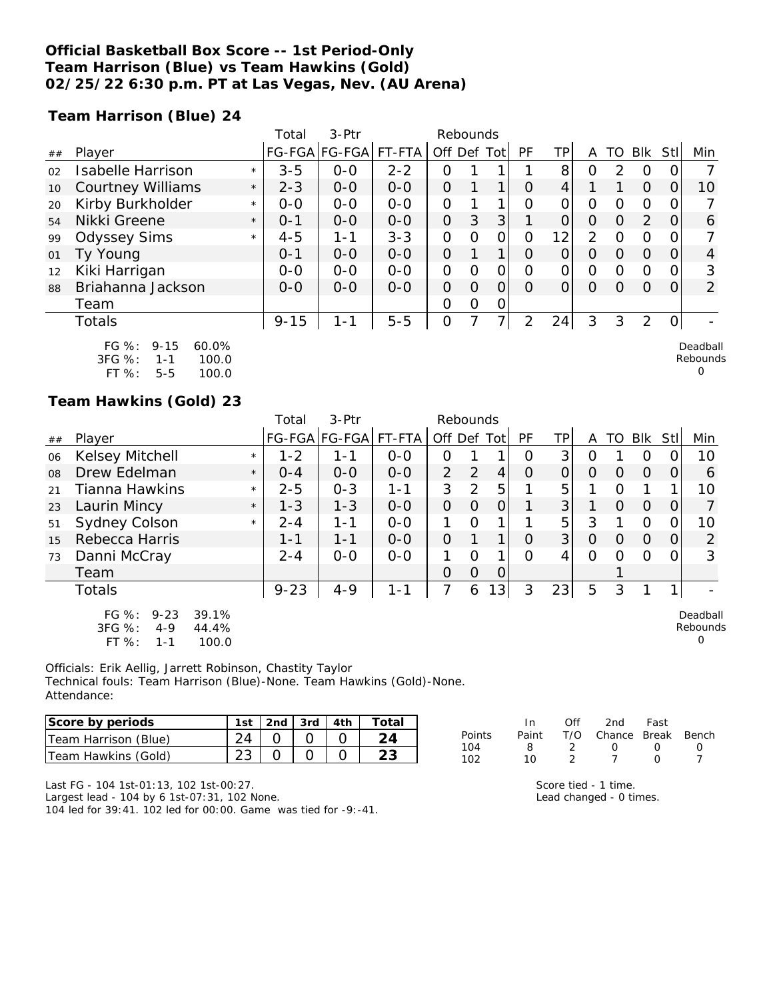## **Official Basketball Box Score -- 1st Period-Only Team Harrison (Blue) vs Team Hawkins (Gold) 02/25/22 6:30 p.m. PT at Las Vegas, Nev. (AU Arena)**

**Team Harrison (Blue) 24**

|    |                                                                                       |         | Total    | 3-Ptr         |         |                | Rebounds |   |          |    |          |          |                |     |                           |
|----|---------------------------------------------------------------------------------------|---------|----------|---------------|---------|----------------|----------|---|----------|----|----------|----------|----------------|-----|---------------------------|
| ## | Player                                                                                |         |          | FG-FGA FG-FGA | FT-FTA  | Off Def Tot    |          |   | PF       | TP | A        | TO       | Blk            | Stl | Min                       |
| 02 | <b>Isabelle Harrison</b>                                                              | $\star$ | $3 - 5$  | $O-O$         | $2 - 2$ | O              |          |   |          | 8  | Ω        | 2        | 0              |     |                           |
| 10 | <b>Courtney Williams</b>                                                              | $\star$ | $2 - 3$  | $0 - 0$       | $0 - 0$ | 0              |          | 1 | $\Omega$ | 4  |          |          | $\Omega$       | Ο   | 10                        |
| 20 | Kirby Burkholder                                                                      | $\star$ | $0 - 0$  | $0 - 0$       | $0-0$   | 0              |          | 1 | $\Omega$ | O  | Ο        | 0        | 0              | O   |                           |
| 54 | Nikki Greene                                                                          | $\star$ | $0 - 1$  | $0-0$         | $0 - 0$ | $\overline{O}$ | 3        | 3 |          | 0  | 0        | $\Omega$ | $\overline{2}$ | O   | 6                         |
| 99 | <b>Odyssey Sims</b>                                                                   | $\star$ | $4 - 5$  | $1 - 1$       | $3 - 3$ | 0              | $\Omega$ | 0 | Ω        | 12 | 2        | $\Omega$ | 0              | O   |                           |
| 01 | Ty Young                                                                              |         | $0 - 1$  | $0-0$         | $0-0$   | 0              |          | 1 | O        | Ο  | O        | Ο        | $\Omega$       | O   | 4                         |
| 12 | Kiki Harrigan                                                                         |         | $0-0$    | $0-0$         | $0-0$   | $\overline{O}$ | $\Omega$ | 0 | O        | 0  | $\Omega$ | O        | 0              | Ω   | 3                         |
| 88 | Briahanna Jackson                                                                     |         | $0 - 0$  | $0 - 0$       | $0-0$   | $\overline{O}$ | 0        | 0 | Ω        | 0  | O        | Ω        | $\Omega$       | O   | $\overline{2}$            |
|    | Team                                                                                  |         |          |               |         | O              | $\Omega$ | 0 |          |    |          |          |                |     |                           |
|    | Totals                                                                                |         | $9 - 15$ | $1 - 1$       | $5-5$   | $\overline{O}$ |          | 7 | 2        | 24 | 3        | 3        | 2              | 0   |                           |
|    | FG %:<br>$9 - 15$<br>60.0%<br>3FG %:<br>100.0<br>$1 - 1$<br>FT %:<br>$5 - 5$<br>100.0 |         |          |               |         |                |          |   |          |    |          |          |                |     | Deadball<br>Rebounds<br>O |

## **Team Hawkins (Gold) 23**

|    |                                                            |                         | Total    | 3-Ptr         |         | Rebounds       |                |                |           |          |          |          |          |      |                           |
|----|------------------------------------------------------------|-------------------------|----------|---------------|---------|----------------|----------------|----------------|-----------|----------|----------|----------|----------|------|---------------------------|
| ## | Player                                                     |                         |          | FG-FGA FG-FGA | FT-FTA  | Off Def Tot    |                |                | <b>PF</b> | TPI      | A        | TO.      | Blk      | Stll | Min                       |
| 06 | <b>Kelsey Mitchell</b>                                     | $\star$                 | $1 - 2$  | 1-1           | $0 - 0$ | Ο              |                |                | Ο         | 3        | Ο        |          | O        |      | 10                        |
| 08 | Drew Edelman                                               | $\star$                 | $O - 4$  | $0 - 0$       | $0 - 0$ | 2              | 2              | $\overline{4}$ | $\Omega$  | $\Omega$ | $\Omega$ | $\Omega$ | $\Omega$ | 0    | 6                         |
| 21 | Tianna Hawkins                                             | $\star$                 | $2 - 5$  | $0 - 3$       | $1 - 1$ | 3              | $\overline{2}$ | 5              |           | 5        |          | O        |          |      | 10                        |
| 23 | Laurin Mincy                                               | $\star$                 | $1 - 3$  | $1 - 3$       | $0 - 0$ | 0              | $\Omega$       | 0              |           | 3        |          | $\Omega$ | $\Omega$ | 0    |                           |
| 51 | Sydney Colson                                              | $\star$                 | $2 - 4$  | 1-1           | $0 - 0$ |                | $\Omega$       |                |           | 5        | 3        |          | $\Omega$ | 0    | 10                        |
| 15 | Rebecca Harris                                             |                         | 1-1      | 1-1           | $0 - 0$ | $\overline{O}$ |                |                | $\Omega$  | 3        | $\Omega$ | $\Omega$ | $\Omega$ | 0    | 2                         |
| 73 | Danni McCray                                               |                         | $2 - 4$  | $0 - 0$       | $0 - 0$ | 1              | $\Omega$       |                | $\Omega$  | 4        | $\Omega$ | O        | $\Omega$ | 0    | 3                         |
|    | Team                                                       |                         |          |               |         | $\Omega$       | $\Omega$       | 0              |           |          |          |          |          |      |                           |
|    | <b>Totals</b>                                              |                         | $9 - 23$ | $4 - 9$       | $1 - 1$ | 7              | 6              | 3              | 3         | 23       | 5        | 3        |          |      |                           |
|    | FG %:<br>$9 - 23$<br>3FG %:<br>$4 - 9$<br>FT %:<br>$1 - 1$ | 39.1%<br>44.4%<br>100.0 |          |               |         |                |                |                |           |          |          |          |          |      | Deadball<br>Rebounds<br>O |

Officials: Erik Aellig, Jarrett Robinson, Chastity Taylor Technical fouls: Team Harrison (Blue)-None. Team Hawkins (Gold)-None. Attendance:

| Score by periods     | 1st | 2nd $\sqrt{3}$ 3rd $\sqrt{4}$ 4th |  |
|----------------------|-----|-----------------------------------|--|
| Team Harrison (Blue) |     |                                   |  |
| Team Hawkins (Gold)  |     |                                   |  |

| In.   | Off | 2nd              | Fast             |                        |
|-------|-----|------------------|------------------|------------------------|
| Paint |     |                  |                  |                        |
| я     |     | $\left( \right)$ | $\left( \right)$ | $\left( \right)$       |
| 10    |     |                  | O                |                        |
|       |     |                  |                  | T/O Chance Break Bench |

Last FG - 104 1st-01:13, 102 1st-00:27.

Largest lead - 104 by 6 1st-07:31, 102 None.

104 led for 39:41. 102 led for 00:00. Game was tied for -9:-41.

| Score tied - 1 time.    |  |
|-------------------------|--|
| Lead changed - 0 times. |  |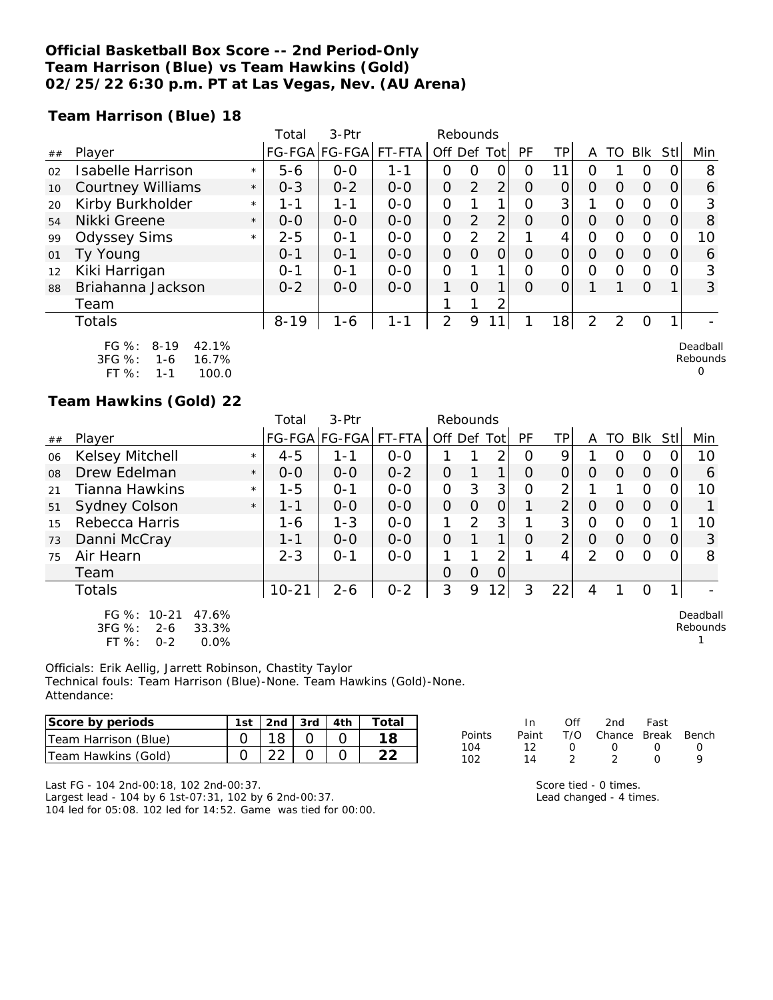## **Official Basketball Box Score -- 2nd Period-Only Team Harrison (Blue) vs Team Hawkins (Gold) 02/25/22 6:30 p.m. PT at Las Vegas, Nev. (AU Arena)**

**Team Harrison (Blue) 18**

|    |                                                                                                |         | Total    | 3-Ptr                 |         |                | Rebounds       |                |          |    |                |               |          |      |                      |
|----|------------------------------------------------------------------------------------------------|---------|----------|-----------------------|---------|----------------|----------------|----------------|----------|----|----------------|---------------|----------|------|----------------------|
| ## | Player                                                                                         |         |          | FG-FGA FG-FGA  FT-FTA |         | Off Def Tot    |                |                | PF       | ΤP | A              | TO            | Blk      | Stll | Min                  |
| 02 | Isabelle Harrison                                                                              | $\star$ | $5 - 6$  | $0 - 0$               | 1-1     | 0              | 0              | 0              | Ω        | 11 | ი              |               | $\circ$  |      | 8                    |
| 10 | <b>Courtney Williams</b>                                                                       | $\star$ | $O - 3$  | $0 - 2$               | $0-0$   | O              | 2              | 2 <sub>1</sub> | O        | 0  | $\Omega$       | $\Omega$      | $\Omega$ | 0    | 6                    |
| 20 | Kirby Burkholder                                                                               | $\star$ | 1 - 1    | 1-1                   | $0 - 0$ | 0              |                |                | Ω        | 3  |                | $\Omega$      | $\Omega$ |      | 3                    |
| 54 | Nikki Greene                                                                                   | $\star$ | $0 - 0$  | $0 - 0$               | $0 - 0$ | 0              | $\overline{2}$ | 2 <sub>1</sub> | O        | 0  | $\Omega$       | $\Omega$      | $\Omega$ | 0    | 8                    |
| 99 | <b>Odyssey Sims</b>                                                                            | $\star$ | $2 - 5$  | $O - 1$               | $0 - 0$ | 0              | $\overline{2}$ | 2 <sub>1</sub> |          | 4  | 0              | $\Omega$      | 0        |      | 10                   |
| 01 | Ty Young                                                                                       |         | $0 - 1$  | $O - 1$               | $0 - 0$ | $\overline{O}$ | O              | $\Omega$       | $\Omega$ | 0  | $\Omega$       | $\Omega$      | $\Omega$ | 0    | 6                    |
| 12 | Kiki Harrigan                                                                                  |         | $0 - 1$  | $0 - 1$               | $0 - 0$ | O              |                | 1              | O        | 0  | 0              | $\Omega$      | 0        |      | 3                    |
| 88 | Briahanna Jackson                                                                              |         | $0 - 2$  | $0 - 0$               | $0 - 0$ | 1              | $\Omega$       | 1              | 0        | 0  |                |               | $\Omega$ |      | 3                    |
|    | Team                                                                                           |         |          |                       |         |                |                | っ              |          |    |                |               |          |      |                      |
|    | Totals                                                                                         |         | $8 - 19$ | $1 - 6$               | $1 - 1$ | 2              | 9              | $\mathbf{1}$   |          | 18 | $\overline{2}$ | $\mathcal{P}$ | $\Omega$ |      |                      |
|    | $FG \%$ :<br>42.1%<br>$8 - 19$<br>$3FG \%$ :<br>16.7%<br>$1 - 6$<br>ET O.<br>100 $\cap$<br>1 1 |         |          |                       |         |                |                |                |          |    |                |               |          |      | Deadball<br>Rebounds |

FT %: 1-1 100.0

#### **Team Hawkins (Gold) 22**

|    |                                                                                  |         | Total     | 3-Ptr         |         | Rebounds       |                |                |             |                |                |          |            |                  |                      |
|----|----------------------------------------------------------------------------------|---------|-----------|---------------|---------|----------------|----------------|----------------|-------------|----------------|----------------|----------|------------|------------------|----------------------|
| ## | Player                                                                           |         |           | FG-FGA FG-FGA | FT-FTA  | Off Def Tot    |                |                | <b>PF</b>   | TP             | A              |          | TO BIK StI |                  | Min                  |
| 06 | Kelsey Mitchell                                                                  | $\star$ | $4 - 5$   | 1-1           | $0 - 0$ |                |                | 2              | Ω           | 9              |                | 0        | O          |                  | 10                   |
| 08 | Drew Edelman                                                                     | $\star$ | $0 - 0$   | $0 - 0$       | $0 - 2$ | $\overline{O}$ |                | 1              | $\Omega$    | 0              | 0              | $\Omega$ | $\Omega$   | $\Omega$         | 6                    |
| 21 | Tianna Hawkins                                                                   | $\star$ | $1 - 5$   | $O - 1$       | $0 - 0$ | 0              | 3              | 3              | $\mathbf 0$ | 2              |                |          | $\Omega$   | 0                | 10                   |
| 51 | Sydney Colson                                                                    | $\star$ | 1-1       | $0 - 0$       | $0 - 0$ | $\overline{O}$ | $\Omega$       | 0              |             | $\overline{2}$ | 0              | $\Omega$ | $\Omega$   | 0                |                      |
| 15 | Rebecca Harris                                                                   |         | 1-6       | $1 - 3$       | $0 - 0$ |                | $\overline{2}$ | 3              |             | 3 <sup>1</sup> | $\overline{O}$ | $\circ$  | $\Omega$   |                  | 10                   |
| 73 | Danni McCray                                                                     |         | 1-1       | $0 - 0$       | $0 - 0$ | $\overline{O}$ |                |                | O           | $\overline{2}$ | $\Omega$       | $\Omega$ | $\Omega$   | 0                | 3                    |
| 75 | Air Hearn                                                                        |         | $2 - 3$   | $O - 1$       | $O-O$   | 1              |                | 2              |             | 4              | $\mathcal{P}$  | ∩        | $\Omega$   | $\left( \right)$ | 8                    |
|    | Team                                                                             |         |           |               |         | Ο              | 0              | 0              |             |                |                |          |            |                  |                      |
|    | Totals                                                                           |         | $10 - 21$ | $2 - 6$       | $0 - 2$ | 3              | 9              | $\overline{2}$ | 3           | 22             | 4              |          | O          |                  |                      |
|    | FG %: 10-21<br>47.6%<br>$3FG \%$<br>33.3%<br>$2 - 6$<br>FT %:<br>0.0%<br>$0 - 2$ |         |           |               |         |                |                |                |             |                |                |          |            |                  | Deadball<br>Rebounds |

Officials: Erik Aellig, Jarrett Robinson, Chastity Taylor Technical fouls: Team Harrison (Blue)-None. Team Hawkins (Gold)-None. Attendance:

| lScore by periods    | 1st | 2nd $\frac{1}{3}$ 3rd $\frac{1}{4}$ 4th | Total |
|----------------------|-----|-----------------------------------------|-------|
| Team Harrison (Blue) |     |                                         |       |
| Team Hawkins (Gold)  |     |                                         |       |

|        | In.   | ∩ff        | 2nd                    | Fast             |                  |
|--------|-------|------------|------------------------|------------------|------------------|
| Points | Paint |            | T/O Chance Break Bench |                  |                  |
| 104    | 12    | $^{\circ}$ | $\sqrt{2}$             | $\left( \right)$ | $\left( \right)$ |
| 102    | 1 1   |            |                        | $\cap$           | Q                |

Last FG - 104 2nd-00:18, 102 2nd-00:37.

Largest lead - 104 by 6 1st-07:31, 102 by 6 2nd-00:37. 104 led for 05:08. 102 led for 14:52. Game was tied for 00:00.

| Score tied - 0 times.   |  |
|-------------------------|--|
| Lead changed - 4 times. |  |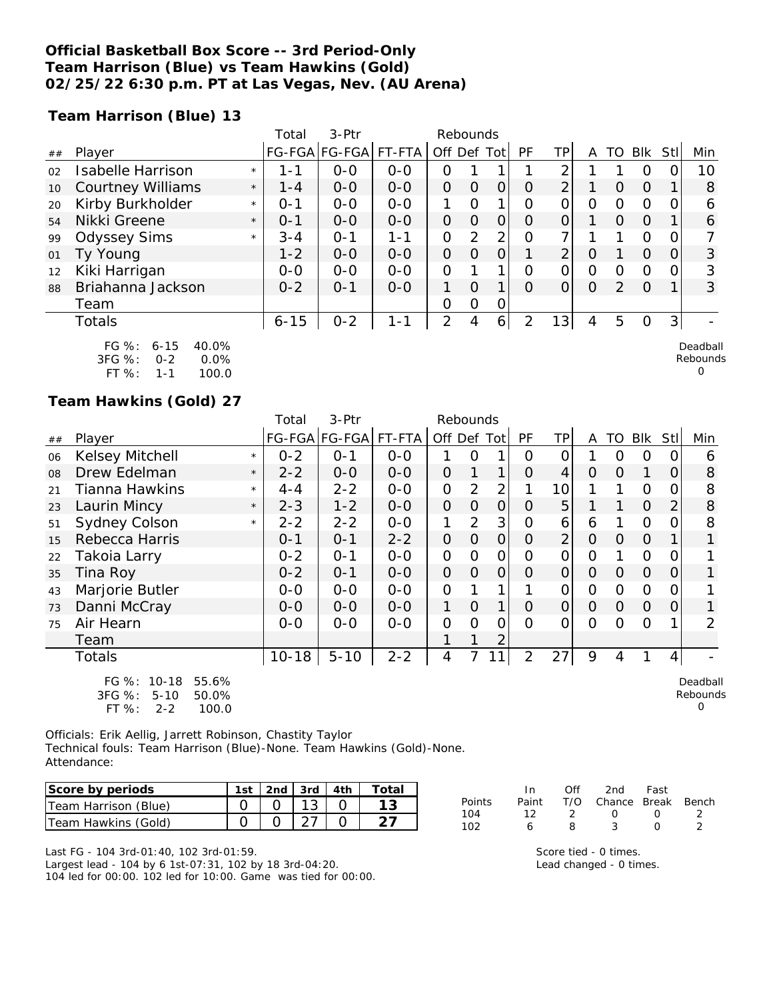## **Official Basketball Box Score -- 3rd Period-Only Team Harrison (Blue) vs Team Hawkins (Gold) 02/25/22 6:30 p.m. PT at Las Vegas, Nev. (AU Arena)**

**Team Harrison (Blue) 13**

|    |                                                         |         | Total    | $3-$ Ptr      |         | Rebounds       |          |      |          |                 |         |               |          |     |                      |
|----|---------------------------------------------------------|---------|----------|---------------|---------|----------------|----------|------|----------|-----------------|---------|---------------|----------|-----|----------------------|
| ## | Player                                                  |         |          | FG-FGA FG-FGA | FT-FTA  | Off Def        |          | Totl | PF       | ΤP              | A       | TO            | Blk      | Stl | Min                  |
| 02 | <b>Isabelle Harrison</b>                                | $\star$ | 1 - 1    | $0 - 0$       | $0 - 0$ | Ο              |          |      |          | ⌒               |         |               | 0        |     | 10                   |
| 10 | <b>Courtney Williams</b>                                | $\star$ | $1 - 4$  | $0 - 0$       | $0 - 0$ | $\Omega$       | O        | 0    | O        | $\overline{2}$  |         | $\Omega$      | $\Omega$ |     | 8                    |
| 20 | Kirby Burkholder                                        | $\star$ | $O - 1$  | $0 - 0$       | $0 - 0$ |                | Ω        |      | Ο        | 0               | Ο       | Ω             | 0        |     | 6                    |
| 54 | Nikki Greene                                            | $\star$ | $0 - 1$  | $0 - 0$       | $0-0$   | $\overline{O}$ | O        | 0    | Ο        | 0               |         | Ω             | $\Omega$ |     | 6                    |
| 99 | <b>Odyssey Sims</b>                                     | $\star$ | $3 - 4$  | $O - 1$       | $1 - 1$ | $\Omega$       | 2        | 2    | Ω        | 7               |         |               | $\Omega$ | ∩   |                      |
| 01 | Ty Young                                                |         | $1 - 2$  | $0 - 0$       | $0 - 0$ | 0              | O        | 0    |          | $\overline{2}$  | 0       |               | $\Omega$ |     | 3                    |
| 12 | Kiki Harrigan                                           |         | $0-0$    | $0 - 0$       | $0 - 0$ | 0              |          | 1    | $\Omega$ | 0               | Ο       | Ω             | $\Omega$ |     | 3                    |
| 88 | Briahanna Jackson                                       |         | $0 - 2$  | $O - 1$       | $0 - 0$ | 1.             | $\Omega$ | 1    | $\Omega$ | 0               | $\circ$ | $\mathcal{L}$ | $\Omega$ |     | 3                    |
|    | Team                                                    |         |          |               |         | 0              | O        | 0    |          |                 |         |               |          |     |                      |
|    | Totals                                                  |         | $6 - 15$ | $0 - 2$       | 1-1     | 2              | 4        | 6    | 2        | 13 <sub>1</sub> | 4       | 5             | 0        | 3   |                      |
|    | FG %:<br>40.0%<br>$6 - 15$<br>3FG %:<br>0.0%<br>$O - 2$ |         |          |               |         |                |          |      |          |                 |         |               |          |     | Deadball<br>Rebounds |

| 3FG %:    | $0 - 2$ | $0.0\%$ |
|-----------|---------|---------|
| FT $\%$ : | 1-1     | 100.0   |

**Team Hawkins (Gold) 27**

|        |                                                                                         |         | Total     | 3-Ptr         |         | Rebounds       |                |                |                |                 |                |                |                |                |                           |
|--------|-----------------------------------------------------------------------------------------|---------|-----------|---------------|---------|----------------|----------------|----------------|----------------|-----------------|----------------|----------------|----------------|----------------|---------------------------|
| $\#\#$ | Player                                                                                  |         |           | FG-FGA FG-FGA | FT-FTA  | Off Def Tot    |                |                | PF             | <b>TP</b>       | A              | TO             | Blk            | <b>StII</b>    | Min                       |
| 06     | Kelsey Mitchell                                                                         | $\star$ | $0 - 2$   | $0 - 1$       | $0 - 0$ |                | Ο              | 1              | O              | $\Omega$        |                | O              | 0              | 0              | 6                         |
| 08     | Drew Edelman                                                                            | $\star$ | $2 - 2$   | $0-0$         | $O-O$   | $\mathbf 0$    | 1              | $\mathbf{1}$   | O              | 4               | $\Omega$       | $\overline{O}$ | 1              | 0              | 8                         |
| 21     | <b>Tianna Hawkins</b>                                                                   | $\star$ | $4 - 4$   | $2 - 2$       | $O-O$   | $\overline{O}$ | $\overline{2}$ | $\overline{2}$ |                | 10 <sup>1</sup> |                |                | $\mathbf 0$    | 0              | 8                         |
| 23     | Laurin Mincy                                                                            | $\star$ | $2 - 3$   | $1 - 2$       | $O-O$   | $\overline{O}$ | $\overline{O}$ | $\overline{O}$ | $\Omega$       | 5               |                |                | $\overline{O}$ | $\overline{2}$ | 8                         |
| 51     | <b>Sydney Colson</b>                                                                    | $\star$ | $2 - 2$   | $2 - 2$       | $0-0$   | 1              | $\overline{2}$ | 3 <sub>l</sub> | O              | 6               | 6              | 1              | $\Omega$       | 0              | 8                         |
| 15     | Rebecca Harris                                                                          |         | $0 - 1$   | $O - 1$       | $2 - 2$ | $\overline{O}$ | $\overline{O}$ | $\Omega$       | $\overline{O}$ | $\overline{2}$  | $\overline{O}$ | $\overline{O}$ | $\Omega$       |                |                           |
| 22     | Takoia Larry                                                                            |         | $0 - 2$   | $0 - 1$       | $0-0$   | $\overline{O}$ | $\overline{O}$ | $\mathcal{O}$  | $\overline{O}$ | $\mathcal{O}$   | $\mathcal{O}$  |                | $\overline{O}$ | 0              |                           |
| 35     | Tina Roy                                                                                |         | $0 - 2$   | $0 - 1$       | $0-0$   | $\overline{O}$ | $\overline{O}$ | $\overline{O}$ | $\Omega$       | $\Omega$        | $\Omega$       | 0              | $\overline{O}$ | 0              | 1                         |
| 43     | Marjorie Butler                                                                         |         | $0-0$     | $0-0$         | $0-0$   | $\overline{O}$ |                |                |                | 0               | $\mathcal{O}$  | 0              | $\Omega$       | O              |                           |
| 73     | Danni McCray                                                                            |         | $0 - 0$   | $0-0$         | $O-O$   | 1              | $\overline{O}$ | $\mathbf{1}$   | $\overline{O}$ | $\vert$ 0       | $\Omega$       | $\Omega$       | $\mathbf{O}$   | 0              |                           |
| 75     | Air Hearn                                                                               |         | $0 - 0$   | $0 - 0$       | $0-0$   | $\mathcal{O}$  | $\Omega$       | O              | $\overline{O}$ | 0               | $\Omega$       | O              | $\circ$        |                | 2                         |
|        | Team                                                                                    |         |           |               |         |                | 1              | $\overline{2}$ |                |                 |                |                |                |                |                           |
|        | Totals                                                                                  |         | $10 - 18$ | $5 - 10$      | $2 - 2$ | 4              | 7              | 11             | $\overline{2}$ | 27              | 9              | 4              | 1              | $\overline{4}$ |                           |
|        | FG %:<br>$10 - 18$<br>55.6%<br>3FG %:<br>$5 - 10$<br>50.0%<br>FT %:<br>100.0<br>$2 - 2$ |         |           |               |         |                |                |                |                |                 |                |                |                |                | Deadball<br>Rebounds<br>O |

Officials: Erik Aellig, Jarrett Robinson, Chastity Taylor Technical fouls: Team Harrison (Blue)-None. Team Hawkins (Gold)-None. Attendance:

| Score by periods     |  |  | 1st 2nd 3rd 4th Total |
|----------------------|--|--|-----------------------|
| Team Harrison (Blue) |  |  |                       |
| Team Hawkins (Gold)  |  |  |                       |

Last FG - 104 3rd-01:40, 102 3rd-01:59. Largest lead - 104 by 6 1st-07:31, 102 by 18 3rd-04:20. 104 led for 00:00. 102 led for 10:00. Game was tied for 00:00.

|        | In In | ∩ff           | 2nd                    | Fast             |  |
|--------|-------|---------------|------------------------|------------------|--|
| Points | Paint |               | T/O Chance Break Bench |                  |  |
| 104    | 12    | $\mathcal{D}$ | $\left( \right)$       | $\left( \right)$ |  |
| 102.   |       | 8             | -2                     |                  |  |

0

Score tied - 0 times. Lead changed - 0 times.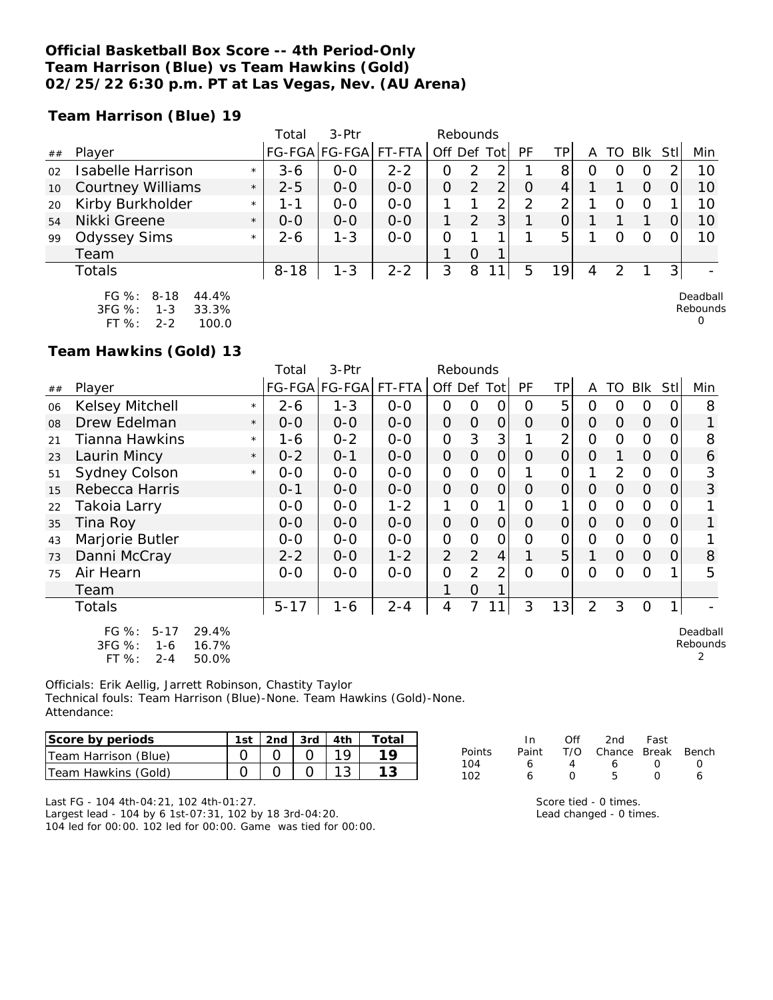## **Official Basketball Box Score -- 4th Period-Only Team Harrison (Blue) vs Team Hawkins (Gold) 02/25/22 6:30 p.m. PT at Las Vegas, Nev. (AU Arena)**

**Team Harrison (Blue) 19**

|    |                          |         | Total    | 3-Ptr         |         |          | Rebounds      |       |    |                 |   |    |     |     |     |
|----|--------------------------|---------|----------|---------------|---------|----------|---------------|-------|----|-----------------|---|----|-----|-----|-----|
| ## | Player                   |         |          | FG-FGA FG-FGA | FT-FTA  | Off Def  |               | Tot l | PF | TPI             | A | TO | Blk | Stl | Min |
| 02 | <b>Isabelle Harrison</b> | $\star$ | $3-6$    | $O-O$         | $2 - 2$ |          |               |       |    | 8               |   |    |     |     | 10  |
| 10 | <b>Courtney Williams</b> | $\star$ | $2 - 5$  | $0 - 0$       | $0 - 0$ | $\Omega$ |               |       |    |                 |   |    | O   |     | 10  |
| 20 | Kirby Burkholder         | $\star$ | 1 - 1    | $0 - 0$       | $O-O$   |          |               | ⌒     | ာ  |                 |   |    |     |     | 10  |
| 54 | Nikki Greene             | $\star$ | $0 - 0$  | $0 - 0$       | $0 - 0$ |          | $\mathcal{P}$ | 3     |    |                 |   |    |     |     | 10  |
| 99 | <b>Odyssey Sims</b>      | $\star$ | $2 - 6$  | $1 - 3$       | $O - O$ |          |               |       |    | 5               |   |    |     |     | 10  |
|    | Team                     |         |          |               |         |          | O             |       |    |                 |   |    |     |     |     |
|    | Totals                   |         | $8 - 18$ | $1 - 3$       | $2 - 2$ | 3        | 8             | 11    | 5  | 19 <sub>1</sub> | 4 |    |     |     |     |
|    |                          |         |          |               |         |          |               |       |    |                 |   |    |     |     |     |

FG %: 8-18 44.4% 3FG %: 1-3 33.3% FT %: 2-2 100.0

Deadball Rebounds

2

0

**Team Hawkins (Gold) 13**

|    |                                                          |         | Total    | 3-Ptr                |         | Rebounds       |                |                |          |                |                |          |                |                |                      |
|----|----------------------------------------------------------|---------|----------|----------------------|---------|----------------|----------------|----------------|----------|----------------|----------------|----------|----------------|----------------|----------------------|
| ## | Player                                                   |         |          | FG-FGA FG-FGA FT-FTA |         | Off Def Tot    |                |                | PF       | TP             | A              | TO       | Blk            | Stll           | Min                  |
| 06 | <b>Kelsey Mitchell</b>                                   | $\star$ | $2 - 6$  | $1 - 3$              | $0 - 0$ | $\Omega$       | 0              | $\mathbf{O}$   | 0        | 5              | $\Omega$       | $\Omega$ | $\circ$        | 0              | 8                    |
| 08 | Drew Edelman                                             | $\star$ | $O-O$    | $0 - 0$              | $0 - 0$ | $\overline{O}$ | $\overline{O}$ | $\overline{O}$ | $\Omega$ | $\Omega$       | $\Omega$       | 0        | $\Omega$       | 0              |                      |
| 21 | Tianna Hawkins                                           | $\star$ | 1-6      | $0 - 2$              | $0-0$   | $\mathcal{O}$  | 3              | 3              |          | $\overline{2}$ | $\overline{O}$ | $\Omega$ | $\Omega$       | 0              | 8                    |
| 23 | Laurin Mincy                                             | $\star$ | $0 - 2$  | $O - 1$              | $O - O$ | $\overline{O}$ | $\overline{O}$ | $\overline{O}$ | $\Omega$ | $\overline{O}$ | $\Omega$       | 1        | $\overline{O}$ | $\overline{O}$ | 6                    |
| 51 | <b>Sydney Colson</b>                                     | $\star$ | $O-O$    | $O-O$                | $O-O$   | $\overline{O}$ | $\overline{O}$ | $\mathcal{O}$  |          | $\mathcal{O}$  | 1              | 2        | $\Omega$       | 0              | 3                    |
| 15 | Rebecca Harris                                           |         | $0 - 1$  | $0-0$                | $0-0$   | $\overline{O}$ | $\overline{O}$ | $\overline{O}$ | O        | $\overline{O}$ | $\overline{O}$ | 0        | $\Omega$       | 0              | 3                    |
| 22 | Takoia Larry                                             |         | $0-0$    | $0-0$                | $1 - 2$ | 1              | $\Omega$       | 1              | O        | 1              | $\Omega$       | 0        | $\Omega$       | 0              |                      |
| 35 | Tina Roy                                                 |         | $0 - 0$  | $0-0$                | $O - O$ | $\overline{O}$ | $\overline{O}$ | $\overline{O}$ | 0        | $\Omega$       | 0              | 0        | $\Omega$       | 0              | 1                    |
| 43 | Marjorie Butler                                          |         | $0-0$    | $O-O$                | $O-O$   | $\mathbf 0$    | $\overline{O}$ | 0              | $\Omega$ | $\overline{O}$ | $\mathcal{O}$  | $\Omega$ | $\Omega$       | 0              |                      |
| 73 | Danni McCray                                             |         | $2 - 2$  | $0 - 0$              | $1 - 2$ | $\overline{2}$ | $\overline{2}$ | $\overline{4}$ | 1        | 5              | 1              | 0        | $\Omega$       | 0              | 8                    |
| 75 | Air Hearn                                                |         | $0-0$    | $0 - 0$              | $0 - 0$ | $\Omega$       | $\overline{2}$ | $\overline{2}$ | $\Omega$ | $\Omega$       | $\Omega$       | $\Omega$ | $\Omega$       |                | 5                    |
|    | Team                                                     |         |          |                      |         | 1              | $\overline{O}$ | 1              |          |                |                |          |                |                |                      |
|    | Totals                                                   |         | $5 - 17$ | $1 - 6$              | $2 - 4$ | 4              | 7              | 1              | 3        | 13             | $\overline{2}$ | 3        | $\circ$        |                |                      |
|    | $FG \%$ :<br>29.4%<br>$5 - 17$<br>3FG %:<br>16.7%<br>1-6 |         |          |                      |         |                |                |                |          |                |                |          |                |                | Deadball<br>Rebounds |

FT %: 2-4 50.0% Officials: Erik Aellig, Jarrett Robinson, Chastity Taylor

Technical fouls: Team Harrison (Blue)-None. Team Hawkins (Gold)-None. Attendance:

| lScore by periods    | 1st | . 2nd   3rd   4th |  | Total |
|----------------------|-----|-------------------|--|-------|
| Team Harrison (Blue) |     |                   |  |       |
| lTeam Hawkins (Gold) |     |                   |  |       |

|        | In.   | ∩ff              | 2nd                    | Fast             |                  |
|--------|-------|------------------|------------------------|------------------|------------------|
| Points | Paint |                  | T/O Chance Break Bench |                  |                  |
| 104    | 6     | Δ                | 6.                     | $\left( \right)$ | $\left( \right)$ |
| 102    | ь     | $\left( \right)$ | Б.                     | $\left( \right)$ | А                |

Last FG - 104 4th-04:21, 102 4th-01:27. Largest lead - 104 by 6 1st-07:31, 102 by 18 3rd-04:20.

104 led for 00:00. 102 led for 00:00. Game was tied for 00:00.

Score tied - 0 times. Lead changed - 0 times.